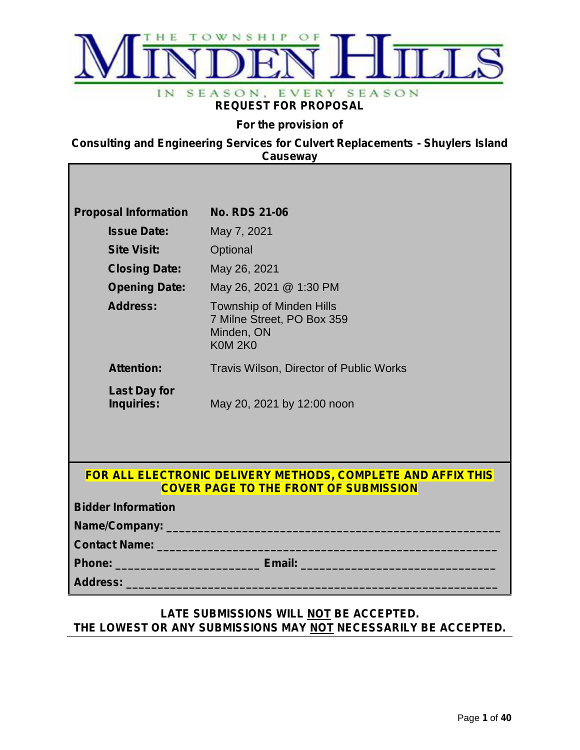

### **REQUEST FOR PROPOSAL**

**For the provision of**

**Consulting and Engineering Services for Culvert Replacements - Shuylers Island Causeway**

| <b>Proposal Information</b>       | <b>No. RDS 21-06</b>                                                                                         |
|-----------------------------------|--------------------------------------------------------------------------------------------------------------|
| <b>Issue Date:</b>                | May 7, 2021                                                                                                  |
| <b>Site Visit:</b>                | Optional                                                                                                     |
| <b>Closing Date:</b>              | May 26, 2021                                                                                                 |
| <b>Opening Date:</b>              | May 26, 2021 @ 1:30 PM                                                                                       |
| <b>Address:</b>                   | <b>Township of Minden Hills</b><br>7 Milne Street, PO Box 359<br>Minden, ON<br><b>K0M 2K0</b>                |
| <b>Attention:</b>                 | Travis Wilson, Director of Public Works                                                                      |
| <b>Last Day for</b><br>Inquiries: | May 20, 2021 by 12:00 noon                                                                                   |
| <b>Bidder Information</b>         | FOR ALL ELECTRONIC DELIVERY METHODS, COMPLETE AND AFFIX THIS<br><b>COVER PAGE TO THE FRONT OF SUBMISSION</b> |
|                                   |                                                                                                              |
|                                   |                                                                                                              |
|                                   |                                                                                                              |

### **LATE SUBMISSIONS WILL NOT BE ACCEPTED. THE LOWEST OR ANY SUBMISSIONS MAY NOT NECESSARILY BE ACCEPTED.**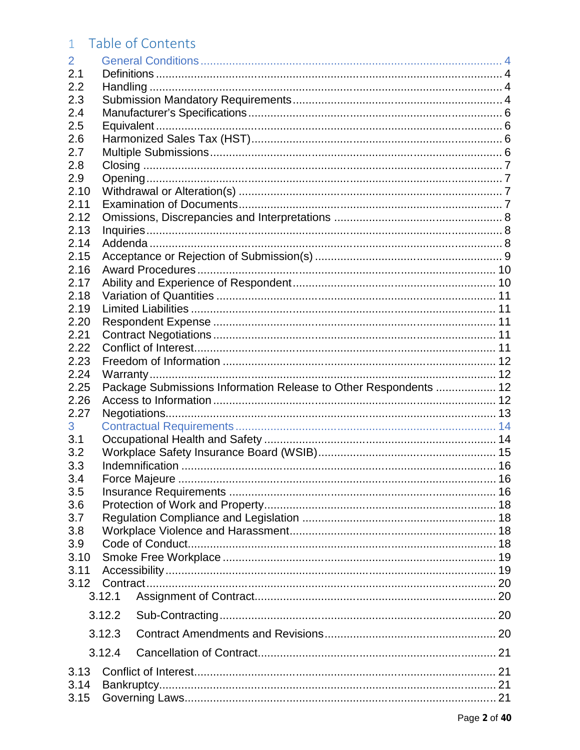# 1 Table of Contents

| 2      |        |                                                                  |  |
|--------|--------|------------------------------------------------------------------|--|
| 2.1    |        |                                                                  |  |
| 2.2    |        |                                                                  |  |
| 2.3    |        |                                                                  |  |
| 2.4    |        |                                                                  |  |
| 2.5    |        |                                                                  |  |
| 2.6    |        |                                                                  |  |
| 2.7    |        |                                                                  |  |
| 2.8    |        |                                                                  |  |
| 2.9    |        |                                                                  |  |
| 2.10   |        |                                                                  |  |
| 2.11   |        |                                                                  |  |
| 2.12   |        |                                                                  |  |
| 2.13   |        |                                                                  |  |
| 2.14   |        |                                                                  |  |
| 2.15   |        |                                                                  |  |
| 2.16   |        |                                                                  |  |
| 2.17   |        |                                                                  |  |
| 2.18   |        |                                                                  |  |
| 2.19   |        |                                                                  |  |
| 2.20   |        |                                                                  |  |
| 2.21   |        |                                                                  |  |
| 2.22   |        |                                                                  |  |
| 2.23   |        |                                                                  |  |
| 2.24   |        |                                                                  |  |
| 2.25   |        | Package Submissions Information Release to Other Respondents  12 |  |
| 2.26   |        |                                                                  |  |
| 2.27   |        |                                                                  |  |
| 3      |        |                                                                  |  |
| 3.1    |        |                                                                  |  |
| 3.2    |        |                                                                  |  |
| 3.3    |        |                                                                  |  |
| 3.4    |        |                                                                  |  |
| 3.5    |        |                                                                  |  |
| 3.6    |        |                                                                  |  |
| 3.7    |        |                                                                  |  |
| 3.8    |        |                                                                  |  |
| 3.9    |        |                                                                  |  |
| 3.10   |        |                                                                  |  |
| 3.11   |        |                                                                  |  |
| 3.12   |        |                                                                  |  |
|        | 3.12.1 |                                                                  |  |
|        | 3.12.2 |                                                                  |  |
| 3.12.3 |        |                                                                  |  |
|        | 3.12.4 |                                                                  |  |
| 3.13   |        |                                                                  |  |
| 3.14   |        |                                                                  |  |
| 3.15   |        |                                                                  |  |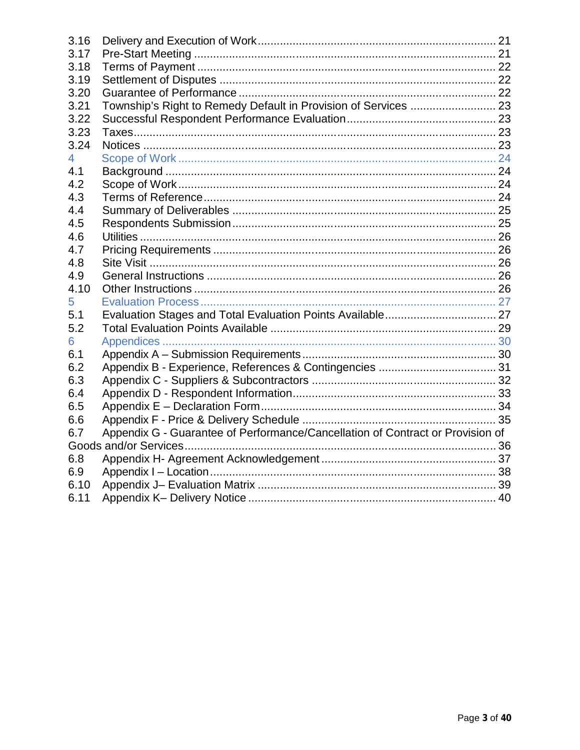| 3.16           |                                                                                |  |
|----------------|--------------------------------------------------------------------------------|--|
| 3.17           |                                                                                |  |
| 3.18           |                                                                                |  |
| 3.19           |                                                                                |  |
| 3.20           |                                                                                |  |
| 3.21           |                                                                                |  |
| 3.22           |                                                                                |  |
| 3.23           |                                                                                |  |
| 3.24           |                                                                                |  |
| $\overline{4}$ |                                                                                |  |
| 4.1            |                                                                                |  |
| 4.2            |                                                                                |  |
| 4.3            |                                                                                |  |
| 4.4            |                                                                                |  |
| 4.5            |                                                                                |  |
| 4.6            |                                                                                |  |
| 4.7            |                                                                                |  |
| 4.8            |                                                                                |  |
| 4.9            |                                                                                |  |
| 4.10           |                                                                                |  |
| 5              |                                                                                |  |
| 5.1            |                                                                                |  |
| 5.2            |                                                                                |  |
| 6              |                                                                                |  |
| 6.1            |                                                                                |  |
| 6.2            |                                                                                |  |
| 6.3            |                                                                                |  |
| 6.4            |                                                                                |  |
| 6.5            |                                                                                |  |
| 6.6            |                                                                                |  |
| 6.7            | Appendix G - Guarantee of Performance/Cancellation of Contract or Provision of |  |
|                |                                                                                |  |
| 6.8            |                                                                                |  |
| 6.9            |                                                                                |  |
| 6.10           |                                                                                |  |
| 6.11           |                                                                                |  |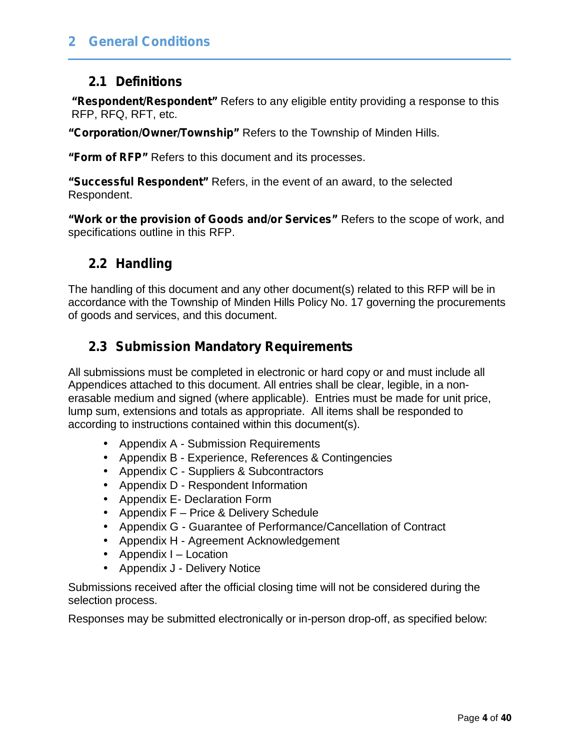## **2.1 Definitions**

**"Respondent/Respondent"** Refers to any eligible entity providing a response to this RFP, RFQ, RFT, etc.

**"Corporation/Owner/Township"** Refers to the Township of Minden Hills.

**"Form of RFP"** Refers to this document and its processes.

**"Successful Respondent"** Refers, in the event of an award, to the selected Respondent.

**"Work or the provision of Goods and/or Services"** Refers to the scope of work, and specifications outline in this RFP.

## **2.2 Handling**

The handling of this document and any other document(s) related to this RFP will be in accordance with the Township of Minden Hills Policy No. 17 governing the procurements of goods and services, and this document.

## **2.3 Submission Mandatory Requirements**

All submissions must be completed in electronic or hard copy or and must include all Appendices attached to this document. All entries shall be clear, legible, in a non erasable medium and signed (where applicable). Entries must be made for unit price, lump sum, extensions and totals as appropriate. All items shall be responded to according to instructions contained within this document(s).

- Appendix A Submission Requirements
- Appendix B Experience, References & Contingencies
- Appendix C Suppliers & Subcontractors
- Appendix D Respondent Information
- Appendix E- Declaration Form
- Appendix F Price & Delivery Schedule
- Appendix G Guarantee of Performance/Cancellation of Contract
- Appendix H Agreement Acknowledgement
- Appendix I Location
- Appendix J Delivery Notice

Submissions received after the official closing time will not be considered during the selection process.

Responses may be submitted electronically or in-person drop-off, as specified below: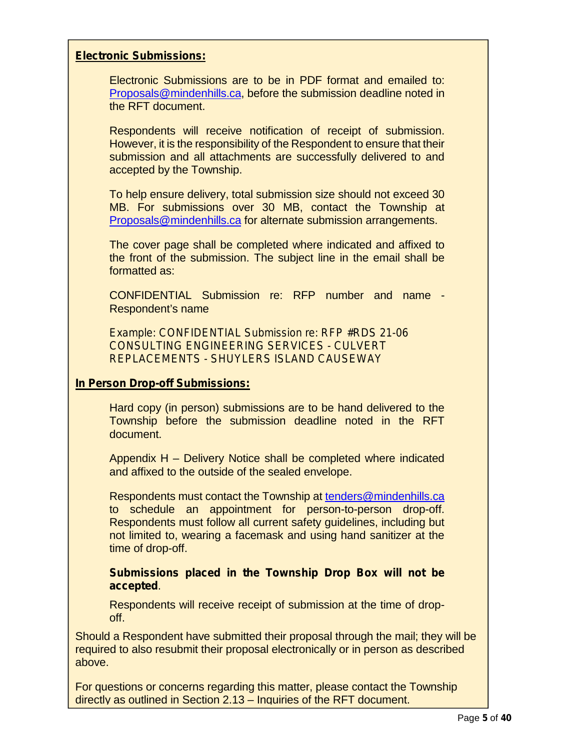#### **Electronic Submissions:**

Electronic Submissions are to be in PDF format and emailed to: Proposals@mindenhills.ca, before the submission deadline noted in the RFT document.

Respondents will receive notification of receipt of submission. However, it is the responsibility of the Respondent to ensure that their submission and all attachments are successfully delivered to and accepted by the Township.

To help ensure delivery, total submission size should not exceed 30 MB. For submissions over 30 MB, contact the Township at Proposals@mindenhills.ca for alternate submission arrangements.

The cover page shall be completed where indicated and affixed to the front of the submission. The subject line in the email shall be formatted as:

CONFIDENTIAL Submission re: RFP number and name - Respondent's name

*Example: CONFIDENTIAL Submission re: RFP #RDS 21-06 CONSULTING ENGINEERING SERVICES - CULVERT REPLACEMENTS - SHUYLERS ISLAND CAUSEWAY*

#### **In Person Drop-off Submissions:**

Hard copy (in person) submissions are to be hand delivered to the Township before the submission deadline noted in the RFT document.

Appendix H – Delivery Notice shall be completed where indicated and affixed to the outside of the sealed envelope.

Respondents must contact the Township at tenders@mindenhills.ca to schedule an appointment for person-to-person drop-off. Respondents must follow all current safety guidelines, including but not limited to, wearing a facemask and using hand sanitizer at the time of drop-off.

**Submissions placed in the Township Drop Box will not be accepted**.

Respondents will receive receipt of submission at the time of drop off.

Should a Respondent have submitted their proposal through the mail; they will be required to also resubmit their proposal electronically or in person as described above.

For questions or concerns regarding this matter, please contact the Township directly as outlined in Section 2.13 – Inquiries of the RFT document.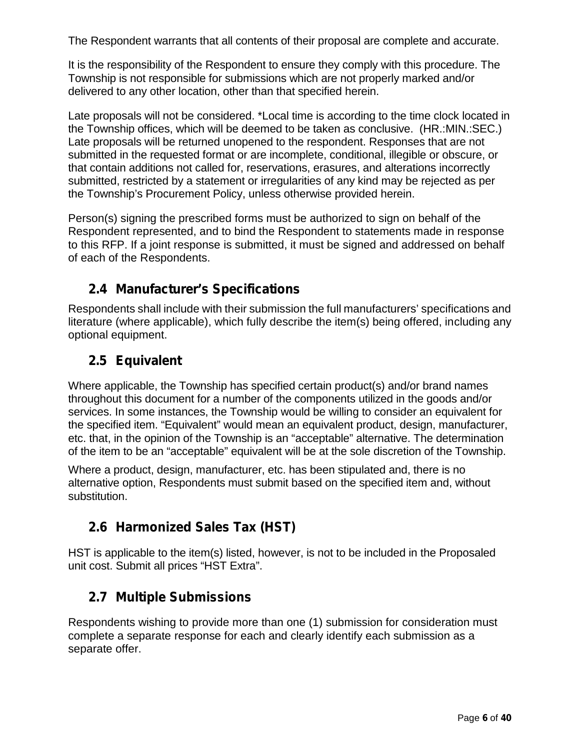The Respondent warrants that all contents of their proposal are complete and accurate.

It is the responsibility of the Respondent to ensure they comply with this procedure. The Township is not responsible for submissions which are not properly marked and/or delivered to any other location, other than that specified herein.

Late proposals will not be considered. \*Local time is according to the time clock located in the Township offices, which will be deemed to be taken as conclusive. (HR.:MIN.:SEC.) Late proposals will be returned unopened to the respondent. Responses that are not submitted in the requested format or are incomplete, conditional, illegible or obscure, or that contain additions not called for, reservations, erasures, and alterations incorrectly submitted, restricted by a statement or irregularities of any kind may be rejected as per the Township's Procurement Policy, unless otherwise provided herein.

Person(s) signing the prescribed forms must be authorized to sign on behalf of the Respondent represented, and to bind the Respondent to statements made in response to this RFP. If a joint response is submitted, it must be signed and addressed on behalf of each of the Respondents.

## **2.4 Manufacturer's Specifications**

Respondents shall include with their submission the full manufacturers' specifications and literature (where applicable), which fully describe the item(s) being offered, including any optional equipment.

## **2.5 Equivalent**

Where applicable, the Township has specified certain product(s) and/or brand names throughout this document for a number of the components utilized in the goods and/or services. In some instances, the Township would be willing to consider an equivalent for the specified item. "Equivalent" would mean an equivalent product, design, manufacturer, etc. that, in the opinion of the Township is an "acceptable" alternative. The determination of the item to be an "acceptable" equivalent will be at the sole discretion of the Township.

Where a product, design, manufacturer, etc. has been stipulated and, there is no alternative option, Respondents must submit based on the specified item and, without substitution.

# **2.6 Harmonized Sales Tax (HST)**

HST is applicable to the item(s) listed, however, is not to be included in the Proposaled unit cost. Submit all prices "HST Extra".

## **2.7 Multiple Submissions**

Respondents wishing to provide more than one (1) submission for consideration must complete a separate response for each and clearly identify each submission as a separate offer.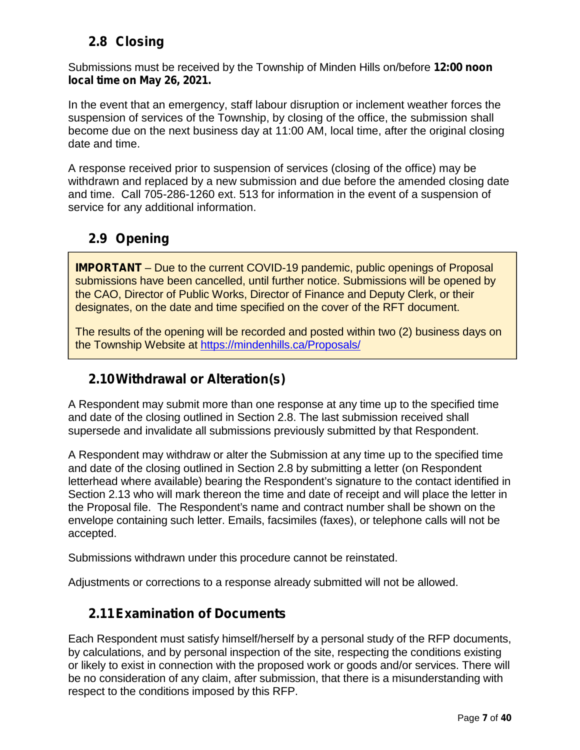# **2.8 Closing**

Submissions must be received by the Township of Minden Hills on/before **12:00 noon local time on May 26, 2021.**

In the event that an emergency, staff labour disruption or inclement weather forces the suspension of services of the Township, by closing of the office, the submission shall become due on the next business day at 11:00 AM, local time, after the original closing date and time.

A response received prior to suspension of services (closing of the office) may be withdrawn and replaced by a new submission and due before the amended closing date and time. Call 705-286-1260 ext. 513 for information in the event of a suspension of service for any additional information.

# **2.9 Opening**

**IMPORTANT** – Due to the current COVID-19 pandemic, public openings of Proposal submissions have been cancelled, until further notice. Submissions will be opened by the CAO, Director of Public Works, Director of Finance and Deputy Clerk, or their designates, on the date and time specified on the cover of the RFT document.

The results of the opening will be recorded and posted within two (2) business days on the Township Website at https://mindenhills.ca/Proposals/

# **2.10Withdrawal or Alteration(s)**

A Respondent may submit more than one response at any time up to the specified time and date of the closing outlined in Section 2.8. The last submission received shall supersede and invalidate all submissions previously submitted by that Respondent.

A Respondent may withdraw or alter the Submission at any time up to the specified time and date of the closing outlined in Section 2.8 by submitting a letter (on Respondent letterhead where available) bearing the Respondent's signature to the contact identified in Section 2.13 who will mark thereon the time and date of receipt and will place the letter in the Proposal file. The Respondent's name and contract number shall be shown on the envelope containing such letter. Emails, facsimiles (faxes), or telephone calls will not be accepted.

Submissions withdrawn under this procedure cannot be reinstated.

Adjustments or corrections to a response already submitted will not be allowed.

## **2.11Examination of Documents**

Each Respondent must satisfy himself/herself by a personal study of the RFP documents, by calculations, and by personal inspection of the site, respecting the conditions existing or likely to exist in connection with the proposed work or goods and/or services. There will be no consideration of any claim, after submission, that there is a misunderstanding with respect to the conditions imposed by this RFP.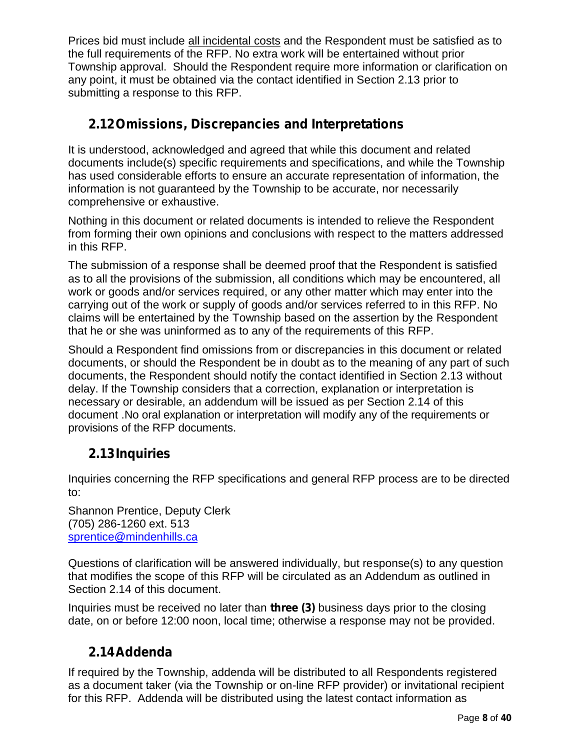Prices bid must include all incidental costs and the Respondent must be satisfied as to the full requirements of the RFP. No extra work will be entertained without prior Township approval. Should the Respondent require more information or clarification on any point, it must be obtained via the contact identified in Section 2.13 prior to submitting a response to this RFP.

# **2.12Omissions, Discrepancies and Interpretations**

It is understood, acknowledged and agreed that while this document and related documents include(s) specific requirements and specifications, and while the Township has used considerable efforts to ensure an accurate representation of information, the information is not guaranteed by the Township to be accurate, nor necessarily comprehensive or exhaustive.

Nothing in this document or related documents is intended to relieve the Respondent from forming their own opinions and conclusions with respect to the matters addressed in this RFP.

The submission of a response shall be deemed proof that the Respondent is satisfied as to all the provisions of the submission, all conditions which may be encountered, all work or goods and/or services required, or any other matter which may enter into the carrying out of the work or supply of goods and/or services referred to in this RFP. No claims will be entertained by the Township based on the assertion by the Respondent that he or she was uninformed as to any of the requirements of this RFP.

Should a Respondent find omissions from or discrepancies in this document or related documents, or should the Respondent be in doubt as to the meaning of any part of such documents, the Respondent should notify the contact identified in Section 2.13 without delay. If the Township considers that a correction, explanation or interpretation is necessary or desirable, an addendum will be issued as per Section 2.14 of this document .No oral explanation or interpretation will modify any of the requirements or provisions of the RFP documents.

# **2.13Inquiries**

Inquiries concerning the RFP specifications and general RFP process are to be directed to:

Shannon Prentice, Deputy Clerk (705) 286-1260 ext. 513 sprentice@mindenhills.ca

Questions of clarification will be answered individually, but response(s) to any question that modifies the scope of this RFP will be circulated as an Addendum as outlined in Section 2.14 of this document.

Inquiries must be received no later than **three (3)** business days prior to the closing date, on or before 12:00 noon, local time; otherwise a response may not be provided.

# **2.14Addenda**

If required by the Township, addenda will be distributed to all Respondents registered as a document taker (via the Township or on-line RFP provider) or invitational recipient for this RFP. Addenda will be distributed using the latest contact information as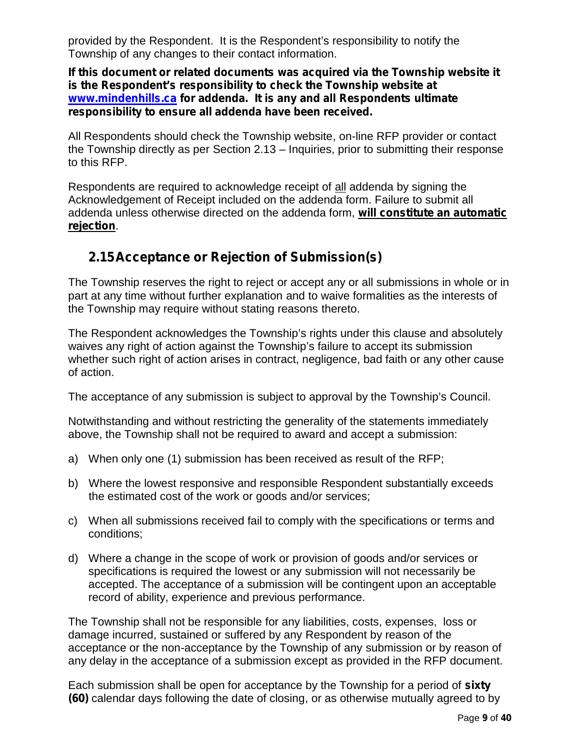provided by the Respondent. It is the Respondent's responsibility to notify the Township of any changes to their contact information.

**If this document or related documents was acquired via the Township website it is the Respondent's responsibility to check the Township website at www.mindenhills.ca for addenda. It is any and all Respondents ultimate responsibility to ensure all addenda have been received.**

All Respondents should check the Township website, on-line RFP provider or contact the Township directly as per Section 2.13 – Inquiries, prior to submitting their response to this RFP.

Respondents are required to acknowledge receipt of all addenda by signing the Acknowledgement of Receipt included on the addenda form. Failure to submit all addenda unless otherwise directed on the addenda form, **will constitute an automatic rejection**.

## **2.15Acceptance or Rejection of Submission(s)**

The Township reserves the right to reject or accept any or all submissions in whole or in part at any time without further explanation and to waive formalities as the interests of the Township may require without stating reasons thereto.

The Respondent acknowledges the Township's rights under this clause and absolutely waives any right of action against the Township's failure to accept its submission whether such right of action arises in contract, negligence, bad faith or any other cause of action.

The acceptance of any submission is subject to approval by the Township's Council.

Notwithstanding and without restricting the generality of the statements immediately above, the Township shall not be required to award and accept a submission:

- a) When only one (1) submission has been received as result of the RFP;
- b) Where the lowest responsive and responsible Respondent substantially exceeds the estimated cost of the work or goods and/or services;
- c) When all submissions received fail to comply with the specifications or terms and conditions;
- d) Where a change in the scope of work or provision of goods and/or services or specifications is required the lowest or any submission will not necessarily be accepted. The acceptance of a submission will be contingent upon an acceptable record of ability, experience and previous performance.

The Township shall not be responsible for any liabilities, costs, expenses, loss or damage incurred, sustained or suffered by any Respondent by reason of the acceptance or the non-acceptance by the Township of any submission or by reason of any delay in the acceptance of a submission except as provided in the RFP document.

Each submission shall be open for acceptance by the Township for a period of **sixty (60)** calendar days following the date of closing, or as otherwise mutually agreed to by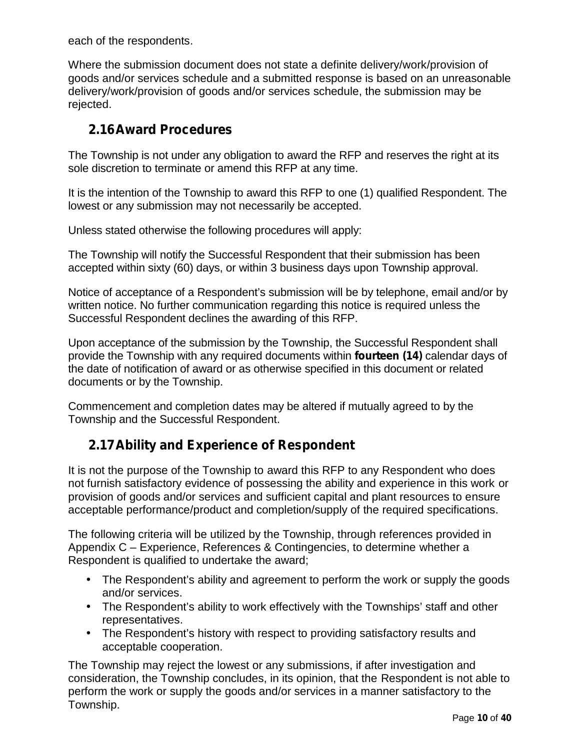each of the respondents.

Where the submission document does not state a definite delivery/work/provision of goods and/or services schedule and a submitted response is based on an unreasonable delivery/work/provision of goods and/or services schedule, the submission may be rejected.

## **2.16Award Procedures**

The Township is not under any obligation to award the RFP and reserves the right at its sole discretion to terminate or amend this RFP at any time.

It is the intention of the Township to award this RFP to one (1) qualified Respondent. The lowest or any submission may not necessarily be accepted.

Unless stated otherwise the following procedures will apply:

The Township will notify the Successful Respondent that their submission has been accepted within sixty (60) days, or within 3 business days upon Township approval.

Notice of acceptance of a Respondent's submission will be by telephone, email and/or by written notice. No further communication regarding this notice is required unless the Successful Respondent declines the awarding of this RFP.

Upon acceptance of the submission by the Township, the Successful Respondent shall provide the Township with any required documents within **fourteen (14)** calendar days of the date of notification of award or as otherwise specified in this document or related documents or by the Township.

Commencement and completion dates may be altered if mutually agreed to by the Township and the Successful Respondent.

## **2.17Ability and Experience of Respondent**

It is not the purpose of the Township to award this RFP to any Respondent who does not furnish satisfactory evidence of possessing the ability and experience in this work or provision of goods and/or services and sufficient capital and plant resources to ensure acceptable performance/product and completion/supply of the required specifications.

The following criteria will be utilized by the Township, through references provided in Appendix C – Experience, References & Contingencies, to determine whether a Respondent is qualified to undertake the award;

- The Respondent's ability and agreement to perform the work or supply the goods and/or services.
- The Respondent's ability to work effectively with the Townships' staff and other representatives.
- The Respondent's history with respect to providing satisfactory results and acceptable cooperation.

The Township may reject the lowest or any submissions, if after investigation and consideration, the Township concludes, in its opinion, that the Respondent is not able to perform the work or supply the goods and/or services in a manner satisfactory to the Township.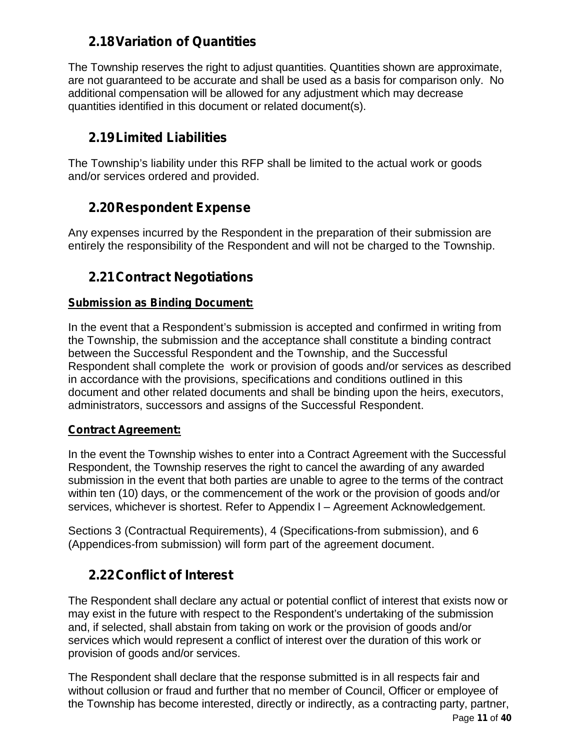## **2.18Variation of Quantities**

The Township reserves the right to adjust quantities. Quantities shown are approximate, are not guaranteed to be accurate and shall be used as a basis for comparison only. No additional compensation will be allowed for any adjustment which may decrease quantities identified in this document or related document(s).

## **2.19Limited Liabilities**

The Township's liability under this RFP shall be limited to the actual work or goods and/or services ordered and provided.

## **2.20Respondent Expense**

Any expenses incurred by the Respondent in the preparation of their submission are entirely the responsibility of the Respondent and will not be charged to the Township.

# **2.21Contract Negotiations**

### **Submission as Binding Document:**

In the event that a Respondent's submission is accepted and confirmed in writing from the Township, the submission and the acceptance shall constitute a binding contract between the Successful Respondent and the Township, and the Successful Respondent shall complete the work or provision of goods and/or services as described in accordance with the provisions, specifications and conditions outlined in this document and other related documents and shall be binding upon the heirs, executors, administrators, successors and assigns of the Successful Respondent.

#### **Contract Agreement:**

In the event the Township wishes to enter into a Contract Agreement with the Successful Respondent, the Township reserves the right to cancel the awarding of any awarded submission in the event that both parties are unable to agree to the terms of the contract within ten (10) days, or the commencement of the work or the provision of goods and/or services, whichever is shortest. Refer to Appendix I – Agreement Acknowledgement.

Sections 3 (Contractual Requirements), 4 (Specifications-from submission), and 6 (Appendices-from submission) will form part of the agreement document.

# **2.22Conflict of Interest**

The Respondent shall declare any actual or potential conflict of interest that exists now or may exist in the future with respect to the Respondent's undertaking of the submission and, if selected, shall abstain from taking on work or the provision of goods and/or services which would represent a conflict of interest over the duration of this work or provision of goods and/or services.

The Respondent shall declare that the response submitted is in all respects fair and without collusion or fraud and further that no member of Council, Officer or employee of the Township has become interested, directly or indirectly, as a contracting party, partner,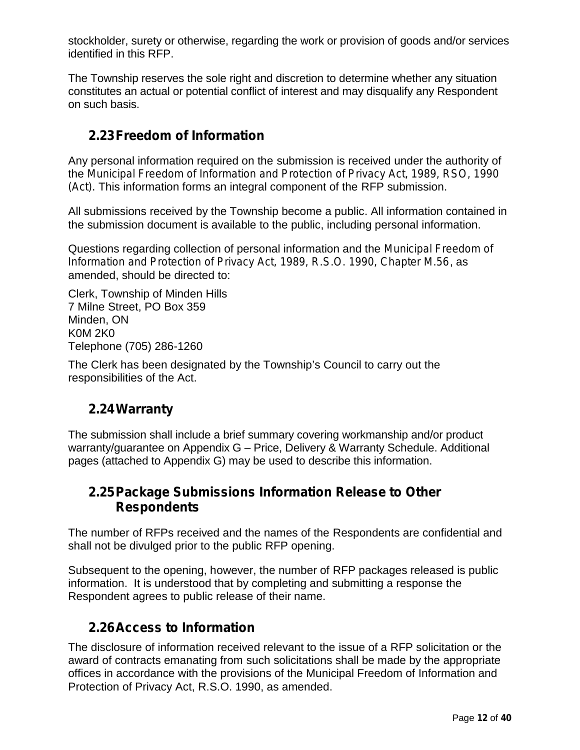stockholder, surety or otherwise, regarding the work or provision of goods and/or services identified in this RFP.

The Township reserves the sole right and discretion to determine whether any situation constitutes an actual or potential conflict of interest and may disqualify any Respondent on such basis.

## **2.23Freedom of Information**

Any personal information required on the submission is received under the authority of the *Municipal Freedom of Information and Protection of Privacy Act, 1989, RSO, 1990 (Act).* This information forms an integral component of the RFP submission.

All submissions received by the Township become a public. All information contained in the submission document is available to the public, including personal information.

Questions regarding collection of personal information and the *Municipal Freedom of Information and Protection of Privacy Act, 1989, R.S.O. 1990, Chapter M.56*, as amended, should be directed to:

Clerk, Township of Minden Hills 7 Milne Street, PO Box 359 Minden, ON K0M 2K0 Telephone (705) 286-1260

The Clerk has been designated by the Township's Council to carry out the responsibilities of the Act.

## **2.24Warranty**

The submission shall include a brief summary covering workmanship and/or product warranty/guarantee on Appendix G – Price, Delivery & Warranty Schedule. Additional pages (attached to Appendix G) may be used to describe this information.

## **2.25Package Submissions Information Release to Other Respondents**

The number of RFPs received and the names of the Respondents are confidential and shall not be divulged prior to the public RFP opening.

Subsequent to the opening, however, the number of RFP packages released is public information. It is understood that by completing and submitting a response the Respondent agrees to public release of their name.

### **2.26Access to Information**

The disclosure of information received relevant to the issue of a RFP solicitation or the award of contracts emanating from such solicitations shall be made by the appropriate offices in accordance with the provisions of the Municipal Freedom of Information and Protection of Privacy Act, R.S.O. 1990, as amended.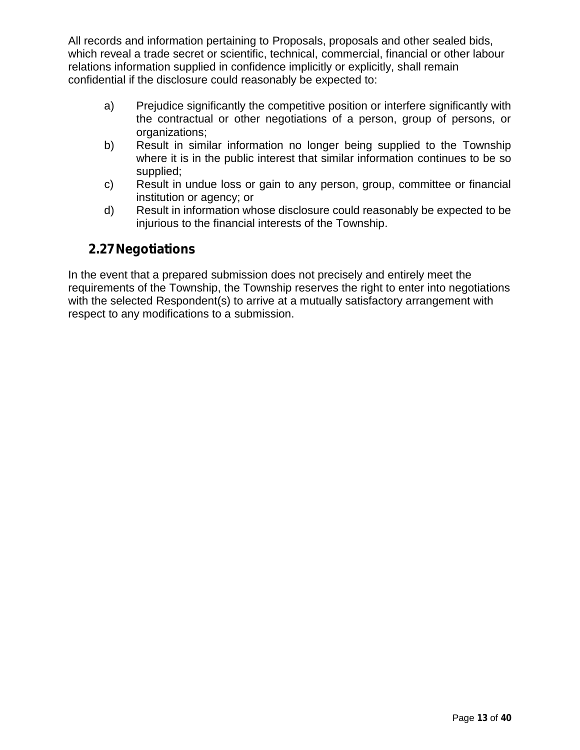All records and information pertaining to Proposals, proposals and other sealed bids, which reveal a trade secret or scientific, technical, commercial, financial or other labour relations information supplied in confidence implicitly or explicitly, shall remain confidential if the disclosure could reasonably be expected to:

- a) Prejudice significantly the competitive position or interfere significantly with the contractual or other negotiations of a person, group of persons, or organizations;
- b) Result in similar information no longer being supplied to the Township where it is in the public interest that similar information continues to be so supplied;
- c) Result in undue loss or gain to any person, group, committee or financial institution or agency; or
- d) Result in information whose disclosure could reasonably be expected to be injurious to the financial interests of the Township.

## **2.27Negotiations**

In the event that a prepared submission does not precisely and entirely meet the requirements of the Township, the Township reserves the right to enter into negotiations with the selected Respondent(s) to arrive at a mutually satisfactory arrangement with respect to any modifications to a submission.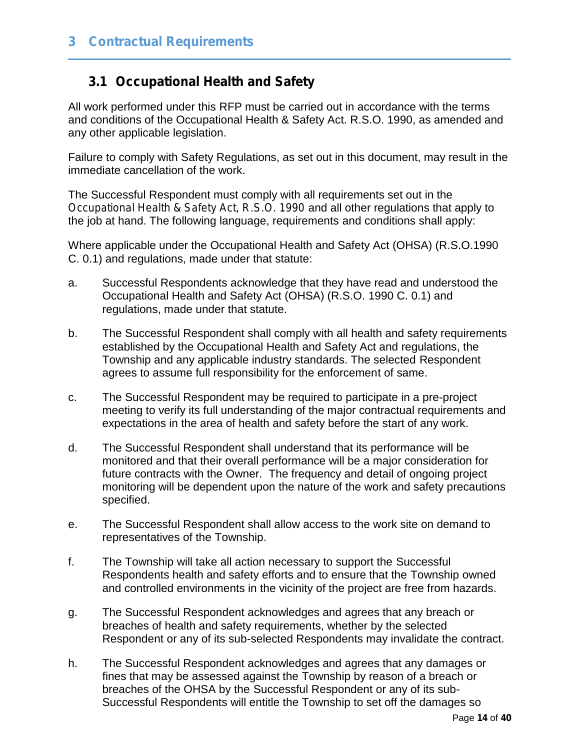## **3.1 Occupational Health and Safety**

All work performed under this RFP must be carried out in accordance with the terms and conditions of the Occupational Health & Safety Act. R.S.O. 1990, as amended and any other applicable legislation.

Failure to comply with Safety Regulations, as set out in this document, may result in the immediate cancellation of the work.

The Successful Respondent must comply with all requirements set out in the *Occupational Health & Safety Act, R.S.O. 1990* and all other regulations that apply to the job at hand. The following language, requirements and conditions shall apply:

Where applicable under the Occupational Health and Safety Act (OHSA) (R.S.O.1990 C. 0.1) and regulations, made under that statute:

- a. Successful Respondents acknowledge that they have read and understood the Occupational Health and Safety Act (OHSA) (R.S.O. 1990 C. 0.1) and regulations, made under that statute.
- b. The Successful Respondent shall comply with all health and safety requirements established by the Occupational Health and Safety Act and regulations, the Township and any applicable industry standards. The selected Respondent agrees to assume full responsibility for the enforcement of same.
- c. The Successful Respondent may be required to participate in a pre-project meeting to verify its full understanding of the major contractual requirements and expectations in the area of health and safety before the start of any work.
- d. The Successful Respondent shall understand that its performance will be monitored and that their overall performance will be a major consideration for future contracts with the Owner. The frequency and detail of ongoing project monitoring will be dependent upon the nature of the work and safety precautions specified.
- e. The Successful Respondent shall allow access to the work site on demand to representatives of the Township.
- f. The Township will take all action necessary to support the Successful Respondents health and safety efforts and to ensure that the Township owned and controlled environments in the vicinity of the project are free from hazards.
- g. The Successful Respondent acknowledges and agrees that any breach or breaches of health and safety requirements, whether by the selected Respondent or any of its sub-selected Respondents may invalidate the contract.
- h. The Successful Respondent acknowledges and agrees that any damages or fines that may be assessed against the Township by reason of a breach or breaches of the OHSA by the Successful Respondent or any of its sub- Successful Respondents will entitle the Township to set off the damages so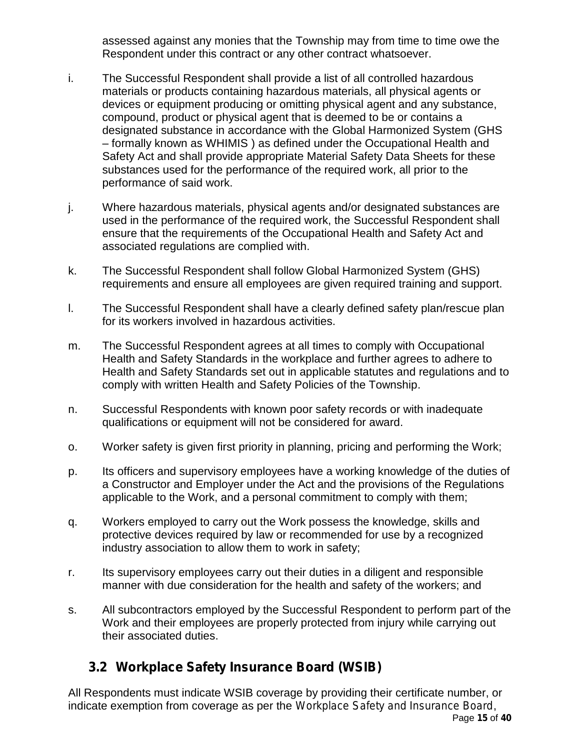assessed against any monies that the Township may from time to time owe the Respondent under this contract or any other contract whatsoever.

- i. The Successful Respondent shall provide a list of all controlled hazardous materials or products containing hazardous materials, all physical agents or devices or equipment producing or omitting physical agent and any substance, compound, product or physical agent that is deemed to be or contains a designated substance in accordance with the Global Harmonized System (GHS – formally known as WHIMIS ) as defined under the Occupational Health and Safety Act and shall provide appropriate Material Safety Data Sheets for these substances used for the performance of the required work, all prior to the performance of said work.
- j. Where hazardous materials, physical agents and/or designated substances are used in the performance of the required work, the Successful Respondent shall ensure that the requirements of the Occupational Health and Safety Act and associated regulations are complied with.
- k. The Successful Respondent shall follow Global Harmonized System (GHS) requirements and ensure all employees are given required training and support.
- l. The Successful Respondent shall have a clearly defined safety plan/rescue plan for its workers involved in hazardous activities.
- m. The Successful Respondent agrees at all times to comply with Occupational Health and Safety Standards in the workplace and further agrees to adhere to Health and Safety Standards set out in applicable statutes and regulations and to comply with written Health and Safety Policies of the Township.
- n. Successful Respondents with known poor safety records or with inadequate qualifications or equipment will not be considered for award.
- o. Worker safety is given first priority in planning, pricing and performing the Work;
- p. Its officers and supervisory employees have a working knowledge of the duties of a Constructor and Employer under the Act and the provisions of the Regulations applicable to the Work, and a personal commitment to comply with them;
- q. Workers employed to carry out the Work possess the knowledge, skills and protective devices required by law or recommended for use by a recognized industry association to allow them to work in safety;
- r. Its supervisory employees carry out their duties in a diligent and responsible manner with due consideration for the health and safety of the workers; and
- s. All subcontractors employed by the Successful Respondent to perform part of the Work and their employees are properly protected from injury while carrying out their associated duties.

# **3.2 Workplace Safety Insurance Board (WSIB)**

Page **15** of **40** All Respondents must indicate WSIB coverage by providing their certificate number, or indicate exemption from coverage as per the *Workplace Safety and Insurance Board*,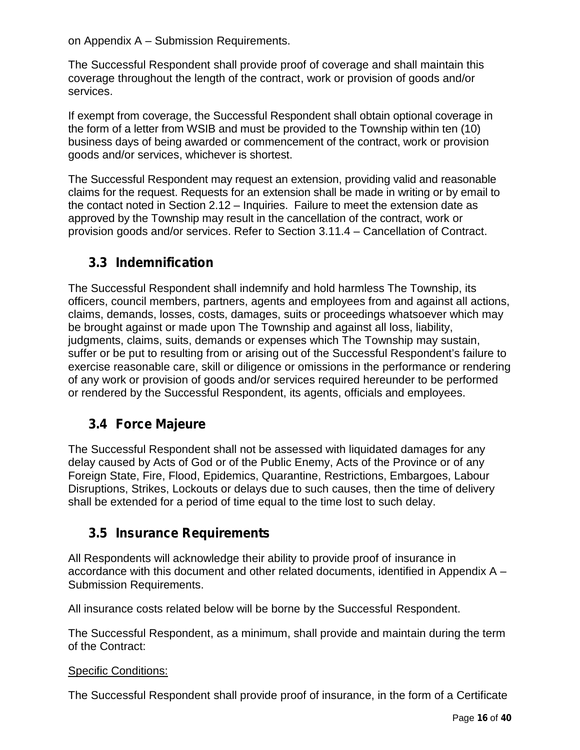on Appendix A – Submission Requirements.

The Successful Respondent shall provide proof of coverage and shall maintain this coverage throughout the length of the contract, work or provision of goods and/or services.

If exempt from coverage, the Successful Respondent shall obtain optional coverage in the form of a letter from WSIB and must be provided to the Township within ten (10) business days of being awarded or commencement of the contract, work or provision goods and/or services, whichever is shortest.

The Successful Respondent may request an extension, providing valid and reasonable claims for the request. Requests for an extension shall be made in writing or by email to the contact noted in Section 2.12 – Inquiries. Failure to meet the extension date as approved by the Township may result in the cancellation of the contract, work or provision goods and/or services. Refer to Section 3.11.4 – Cancellation of Contract.

# **3.3 Indemnification**

The Successful Respondent shall indemnify and hold harmless The Township, its officers, council members, partners, agents and employees from and against all actions, claims, demands, losses, costs, damages, suits or proceedings whatsoever which may be brought against or made upon The Township and against all loss, liability, judgments, claims, suits, demands or expenses which The Township may sustain, suffer or be put to resulting from or arising out of the Successful Respondent's failure to exercise reasonable care, skill or diligence or omissions in the performance or rendering of any work or provision of goods and/or services required hereunder to be performed or rendered by the Successful Respondent, its agents, officials and employees.

## **3.4 Force Majeure**

The Successful Respondent shall not be assessed with liquidated damages for any delay caused by Acts of God or of the Public Enemy, Acts of the Province or of any Foreign State, Fire, Flood, Epidemics, Quarantine, Restrictions, Embargoes, Labour Disruptions, Strikes, Lockouts or delays due to such causes, then the time of delivery shall be extended for a period of time equal to the time lost to such delay.

## **3.5 Insurance Requirements**

All Respondents will acknowledge their ability to provide proof of insurance in accordance with this document and other related documents, identified in Appendix A – Submission Requirements.

All insurance costs related below will be borne by the Successful Respondent.

The Successful Respondent, as a minimum, shall provide and maintain during the term of the Contract:

#### Specific Conditions:

The Successful Respondent shall provide proof of insurance, in the form of a Certificate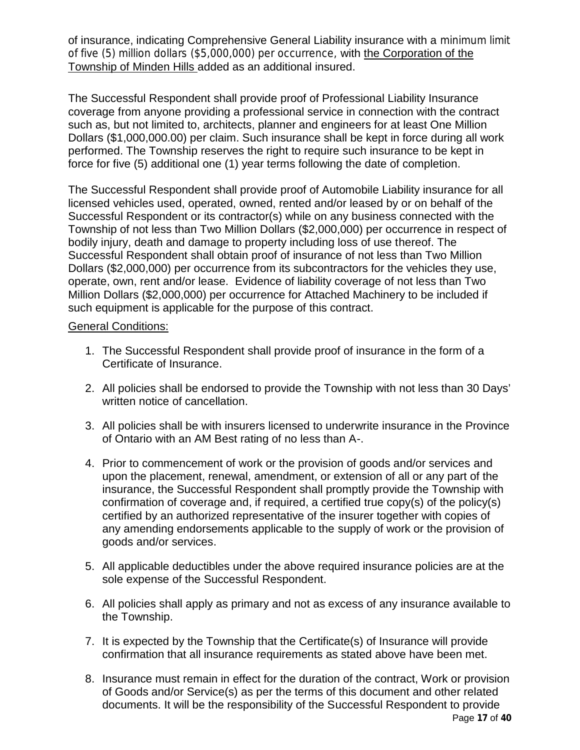of insurance, indicating Comprehensive General Liability insurance with a *minimum limit of five (5) million dollars (\$5,000,000) per occurrence,* with the Corporation of the Township of Minden Hills added as an additional insured.

The Successful Respondent shall provide proof of Professional Liability Insurance coverage from anyone providing a professional service in connection with the contract such as, but not limited to, architects, planner and engineers for at least One Million Dollars (\$1,000,000.00) per claim. Such insurance shall be kept in force during all work performed. The Township reserves the right to require such insurance to be kept in force for five (5) additional one (1) year terms following the date of completion.

The Successful Respondent shall provide proof of Automobile Liability insurance for all licensed vehicles used, operated, owned, rented and/or leased by or on behalf of the Successful Respondent or its contractor(s) while on any business connected with the Township of not less than Two Million Dollars (\$2,000,000) per occurrence in respect of bodily injury, death and damage to property including loss of use thereof. The Successful Respondent shall obtain proof of insurance of not less than Two Million Dollars (\$2,000,000) per occurrence from its subcontractors for the vehicles they use, operate, own, rent and/or lease. Evidence of liability coverage of not less than Two Million Dollars (\$2,000,000) per occurrence for Attached Machinery to be included if such equipment is applicable for the purpose of this contract.

#### General Conditions:

- 1. The Successful Respondent shall provide proof of insurance in the form of a Certificate of Insurance.
- 2. All policies shall be endorsed to provide the Township with not less than 30 Days' written notice of cancellation.
- 3. All policies shall be with insurers licensed to underwrite insurance in the Province of Ontario with an AM Best rating of no less than A-.
- 4. Prior to commencement of work or the provision of goods and/or services and upon the placement, renewal, amendment, or extension of all or any part of the insurance, the Successful Respondent shall promptly provide the Township with confirmation of coverage and, if required, a certified true copy(s) of the policy(s) certified by an authorized representative of the insurer together with copies of any amending endorsements applicable to the supply of work or the provision of goods and/or services.
- 5. All applicable deductibles under the above required insurance policies are at the sole expense of the Successful Respondent.
- 6. All policies shall apply as primary and not as excess of any insurance available to the Township.
- 7. It is expected by the Township that the Certificate(s) of Insurance will provide confirmation that all insurance requirements as stated above have been met.
- 8. Insurance must remain in effect for the duration of the contract, Work or provision of Goods and/or Service(s) as per the terms of this document and other related documents. It will be the responsibility of the Successful Respondent to provide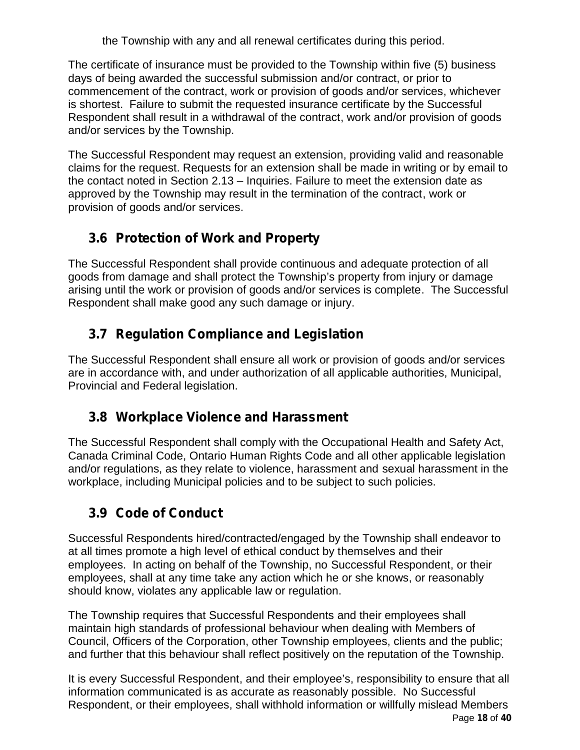the Township with any and all renewal certificates during this period.

The certificate of insurance must be provided to the Township within five (5) business days of being awarded the successful submission and/or contract, or prior to commencement of the contract, work or provision of goods and/or services, whichever is shortest. Failure to submit the requested insurance certificate by the Successful Respondent shall result in a withdrawal of the contract, work and/or provision of goods and/or services by the Township.

The Successful Respondent may request an extension, providing valid and reasonable claims for the request. Requests for an extension shall be made in writing or by email to the contact noted in Section 2.13 – Inquiries. Failure to meet the extension date as approved by the Township may result in the termination of the contract, work or provision of goods and/or services.

# **3.6 Protection of Work and Property**

The Successful Respondent shall provide continuous and adequate protection of all goods from damage and shall protect the Township's property from injury or damage arising until the work or provision of goods and/or services is complete. The Successful Respondent shall make good any such damage or injury.

# **3.7 Regulation Compliance and Legislation**

The Successful Respondent shall ensure all work or provision of goods and/or services are in accordance with, and under authorization of all applicable authorities, Municipal, Provincial and Federal legislation.

# **3.8 Workplace Violence and Harassment**

The Successful Respondent shall comply with the Occupational Health and Safety Act, Canada Criminal Code, Ontario Human Rights Code and all other applicable legislation and/or regulations, as they relate to violence, harassment and sexual harassment in the workplace, including Municipal policies and to be subject to such policies.

# **3.9 Code of Conduct**

Successful Respondents hired/contracted/engaged by the Township shall endeavor to at all times promote a high level of ethical conduct by themselves and their employees. In acting on behalf of the Township, no Successful Respondent, or their employees, shall at any time take any action which he or she knows, or reasonably should know, violates any applicable law or regulation.

The Township requires that Successful Respondents and their employees shall maintain high standards of professional behaviour when dealing with Members of Council, Officers of the Corporation, other Township employees, clients and the public; and further that this behaviour shall reflect positively on the reputation of the Township.

Page **18** of **40** It is every Successful Respondent, and their employee's, responsibility to ensure that all information communicated is as accurate as reasonably possible. No Successful Respondent, or their employees, shall withhold information or willfully mislead Members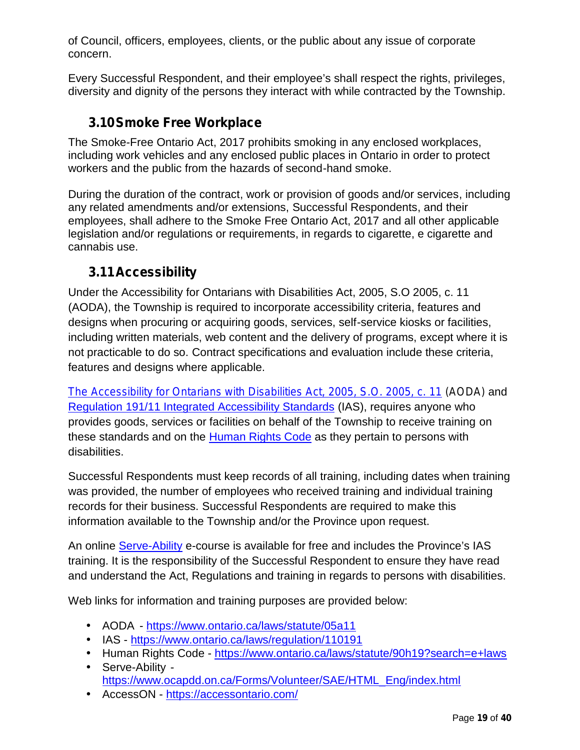of Council, officers, employees, clients, or the public about any issue of corporate concern.

Every Successful Respondent, and their employee's shall respect the rights, privileges, diversity and dignity of the persons they interact with while contracted by the Township.

## **3.10Smoke Free Workplace**

The Smoke-Free Ontario Act, 2017 prohibits smoking in any enclosed workplaces, including work vehicles and any enclosed public places in Ontario in order to protect workers and the public from the hazards of second-hand smoke.

During the duration of the contract, work or provision of goods and/or services, including any related amendments and/or extensions, Successful Respondents, and their employees, shall adhere to the Smoke Free Ontario Act, 2017 and all other applicable legislation and/or regulations or requirements, in regards to cigarette, e cigarette and cannabis use.

## **3.11Accessibility**

Under the Accessibility for Ontarians with Disabilities Act, 2005, S.O 2005, c. 11 (AODA), the Township is required to incorporate accessibility criteria, features and designs when procuring or acquiring goods, services, self-service kiosks or facilities, including written materials, web content and the delivery of programs, except where it is not practicable to do so. Contract specifications and evaluation include these criteria, features and designs where applicable.

*The Accessibility for Ontarians with Disabilities Act, 2005, S.O. 2005, c. 11 (AODA)* and Regulation 191/11 Integrated Accessibility Standards (IAS), requires anyone who provides goods, services or facilities on behalf of the Township to receive training on these standards and on the **Human Rights Code** as they pertain to persons with disabilities.

Successful Respondents must keep records of all training, including dates when training was provided, the number of employees who received training and individual training records for their business. Successful Respondents are required to make this information available to the Township and/or the Province upon request.

An online Serve-Ability e-course is available for free and includes the Province's IAS training. It is the responsibility of the Successful Respondent to ensure they have read and understand the Act, Regulations and training in regards to persons with disabilities.

Web links for information and training purposes are provided below:

- AODA https://www.ontario.ca/laws/statute/05a11
- IAS https://www.ontario.ca/laws/regulation/110191
- Human Rights Code https://www.ontario.ca/laws/statute/90h19?search=e+laws Serve-Ability
	- https://www.ocapdd.on.ca/Forms/Volunteer/SAE/HTML\_Eng/index.html
- AccessON https://accessontario.com/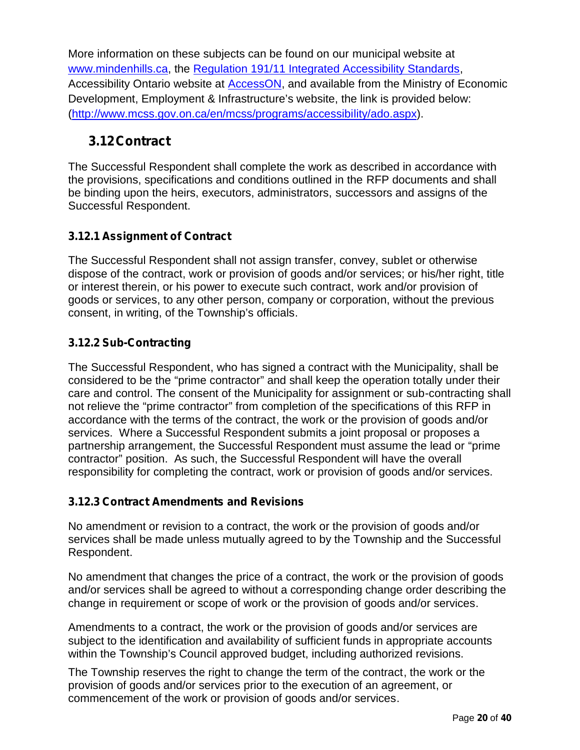More information on these subjects can be found on our municipal website at www.mindenhills.ca, the Regulation 191/11 Integrated Accessibility Standards, Accessibility Ontario website at AccessON, and available from the Ministry of Economic Development, Employment & Infrastructure's website, the link is provided below: (http://www.mcss.gov.on.ca/en/mcss/programs/accessibility/ado.aspx).

## **3.12Contract**

The Successful Respondent shall complete the work as described in accordance with the provisions, specifications and conditions outlined in the RFP documents and shall be binding upon the heirs, executors, administrators, successors and assigns of the Successful Respondent.

## **3.12.1 Assignment of Contract**

The Successful Respondent shall not assign transfer, convey, sublet or otherwise dispose of the contract, work or provision of goods and/or services; or his/her right, title or interest therein, or his power to execute such contract, work and/or provision of goods or services, to any other person, company or corporation, without the previous consent, in writing, of the Township's officials.

## **3.12.2 Sub-Contracting**

The Successful Respondent, who has signed a contract with the Municipality, shall be considered to be the "prime contractor" and shall keep the operation totally under their care and control. The consent of the Municipality for assignment or sub-contracting shall not relieve the "prime contractor" from completion of the specifications of this RFP in accordance with the terms of the contract, the work or the provision of goods and/or services. Where a Successful Respondent submits a joint proposal or proposes a partnership arrangement, the Successful Respondent must assume the lead or "prime contractor" position. As such, the Successful Respondent will have the overall responsibility for completing the contract, work or provision of goods and/or services.

### **3.12.3 Contract Amendments and Revisions**

No amendment or revision to a contract, the work or the provision of goods and/or services shall be made unless mutually agreed to by the Township and the Successful Respondent.

No amendment that changes the price of a contract, the work or the provision of goods and/or services shall be agreed to without a corresponding change order describing the change in requirement or scope of work or the provision of goods and/or services.

Amendments to a contract, the work or the provision of goods and/or services are subject to the identification and availability of sufficient funds in appropriate accounts within the Township's Council approved budget, including authorized revisions.

The Township reserves the right to change the term of the contract, the work or the provision of goods and/or services prior to the execution of an agreement, or commencement of the work or provision of goods and/or services.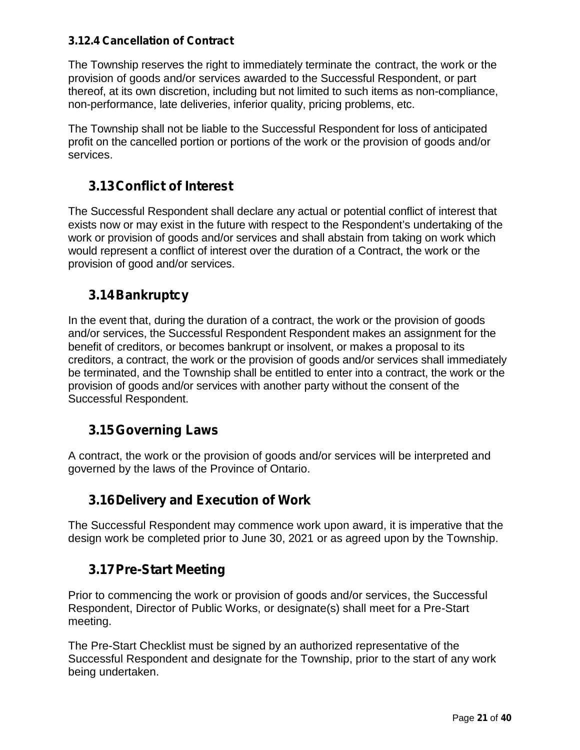### **3.12.4 Cancellation of Contract**

The Township reserves the right to immediately terminate the contract, the work or the provision of goods and/or services awarded to the Successful Respondent, or part thereof, at its own discretion, including but not limited to such items as non-compliance, non-performance, late deliveries, inferior quality, pricing problems, etc.

The Township shall not be liable to the Successful Respondent for loss of anticipated profit on the cancelled portion or portions of the work or the provision of goods and/or services.

## **3.13Conflict of Interest**

The Successful Respondent shall declare any actual or potential conflict of interest that exists now or may exist in the future with respect to the Respondent's undertaking of the work or provision of goods and/or services and shall abstain from taking on work which would represent a conflict of interest over the duration of a Contract, the work or the provision of good and/or services.

## **3.14Bankruptcy**

In the event that, during the duration of a contract, the work or the provision of goods and/or services, the Successful Respondent Respondent makes an assignment for the benefit of creditors, or becomes bankrupt or insolvent, or makes a proposal to its creditors, a contract, the work or the provision of goods and/or services shall immediately be terminated, and the Township shall be entitled to enter into a contract, the work or the provision of goods and/or services with another party without the consent of the Successful Respondent.

## **3.15Governing Laws**

A contract, the work or the provision of goods and/or services will be interpreted and governed by the laws of the Province of Ontario.

# **3.16Delivery and Execution of Work**

The Successful Respondent may commence work upon award, it is imperative that the design work be completed prior to June 30, 2021 or as agreed upon by the Township.

# **3.17Pre-Start Meeting**

Prior to commencing the work or provision of goods and/or services, the Successful Respondent, Director of Public Works, or designate(s) shall meet for a Pre-Start meeting.

The Pre-Start Checklist must be signed by an authorized representative of the Successful Respondent and designate for the Township, prior to the start of any work being undertaken.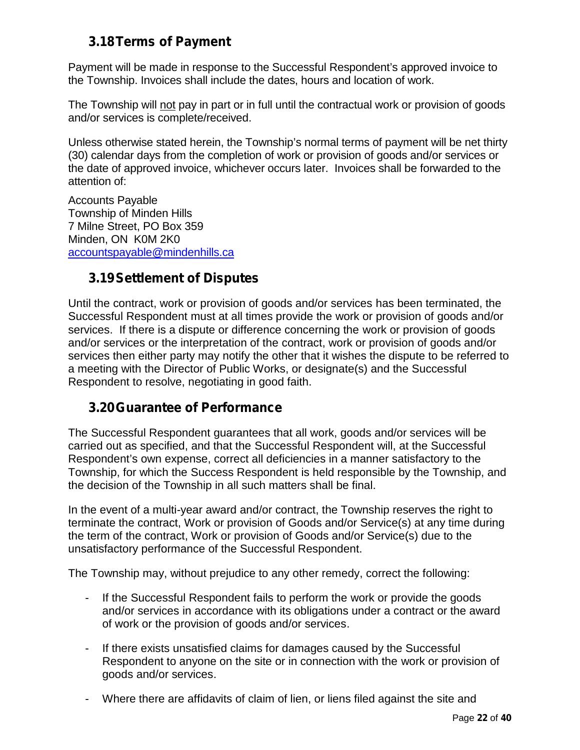## **3.18Terms of Payment**

Payment will be made in response to the Successful Respondent's approved invoice to the Township. Invoices shall include the dates, hours and location of work.

The Township will not pay in part or in full until the contractual work or provision of goods and/or services is complete/received.

Unless otherwise stated herein, the Township's normal terms of payment will be net thirty (30) calendar days from the completion of work or provision of goods and/or services or the date of approved invoice, whichever occurs later. Invoices shall be forwarded to the attention of:

Accounts Payable Township of Minden Hills 7 Milne Street, PO Box 359 Minden, ON K0M 2K0 accountspayable@mindenhills.ca

## **3.19Settlement of Disputes**

Until the contract, work or provision of goods and/or services has been terminated, the Successful Respondent must at all times provide the work or provision of goods and/or services. If there is a dispute or difference concerning the work or provision of goods and/or services or the interpretation of the contract, work or provision of goods and/or services then either party may notify the other that it wishes the dispute to be referred to a meeting with the Director of Public Works, or designate(s) and the Successful Respondent to resolve, negotiating in good faith.

# **3.20Guarantee of Performance**

The Successful Respondent guarantees that all work, goods and/or services will be carried out as specified, and that the Successful Respondent will, at the Successful Respondent's own expense, correct all deficiencies in a manner satisfactory to the Township, for which the Success Respondent is held responsible by the Township, and the decision of the Township in all such matters shall be final.

In the event of a multi-year award and/or contract, the Township reserves the right to terminate the contract, Work or provision of Goods and/or Service(s) at any time during the term of the contract, Work or provision of Goods and/or Service(s) due to the unsatisfactory performance of the Successful Respondent.

The Township may, without prejudice to any other remedy, correct the following:

- If the Successful Respondent fails to perform the work or provide the goods and/or services in accordance with its obligations under a contract or the award of work or the provision of goods and/or services.
- If there exists unsatisfied claims for damages caused by the Successful Respondent to anyone on the site or in connection with the work or provision of goods and/or services.
- Where there are affidavits of claim of lien, or liens filed against the site and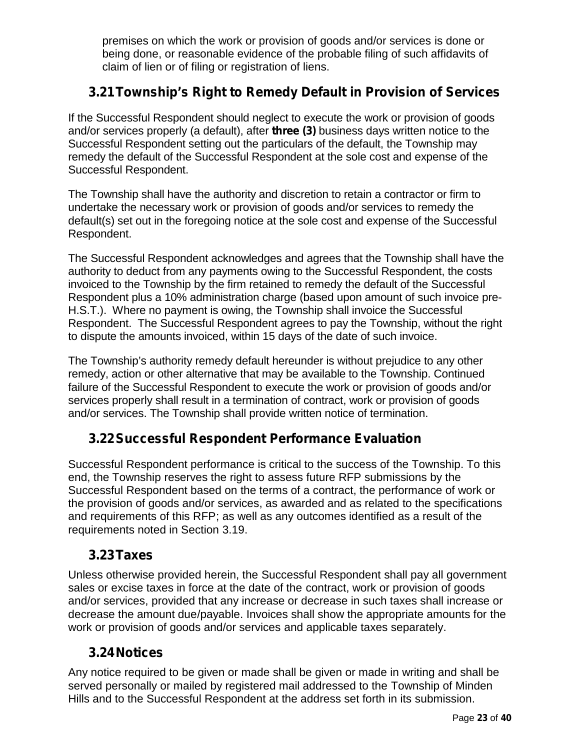premises on which the work or provision of goods and/or services is done or being done, or reasonable evidence of the probable filing of such affidavits of claim of lien or of filing or registration of liens.

## **3.21Township's Right to Remedy Default in Provision of Services**

If the Successful Respondent should neglect to execute the work or provision of goods and/or services properly (a default), after **three (3)** business days written notice to the Successful Respondent setting out the particulars of the default, the Township may remedy the default of the Successful Respondent at the sole cost and expense of the Successful Respondent.

The Township shall have the authority and discretion to retain a contractor or firm to undertake the necessary work or provision of goods and/or services to remedy the default(s) set out in the foregoing notice at the sole cost and expense of the Successful Respondent.

The Successful Respondent acknowledges and agrees that the Township shall have the authority to deduct from any payments owing to the Successful Respondent, the costs invoiced to the Township by the firm retained to remedy the default of the Successful Respondent plus a 10% administration charge (based upon amount of such invoice pre- H.S.T.). Where no payment is owing, the Township shall invoice the Successful Respondent. The Successful Respondent agrees to pay the Township, without the right to dispute the amounts invoiced, within 15 days of the date of such invoice.

The Township's authority remedy default hereunder is without prejudice to any other remedy, action or other alternative that may be available to the Township. Continued failure of the Successful Respondent to execute the work or provision of goods and/or services properly shall result in a termination of contract, work or provision of goods and/or services. The Township shall provide written notice of termination.

## **3.22Successful Respondent Performance Evaluation**

Successful Respondent performance is critical to the success of the Township. To this end, the Township reserves the right to assess future RFP submissions by the Successful Respondent based on the terms of a contract, the performance of work or the provision of goods and/or services, as awarded and as related to the specifications and requirements of this RFP; as well as any outcomes identified as a result of the requirements noted in Section 3.19.

## **3.23Taxes**

Unless otherwise provided herein, the Successful Respondent shall pay all government sales or excise taxes in force at the date of the contract, work or provision of goods and/or services, provided that any increase or decrease in such taxes shall increase or decrease the amount due/payable. Invoices shall show the appropriate amounts for the work or provision of goods and/or services and applicable taxes separately.

## **3.24Notices**

Any notice required to be given or made shall be given or made in writing and shall be served personally or mailed by registered mail addressed to the Township of Minden Hills and to the Successful Respondent at the address set forth in its submission.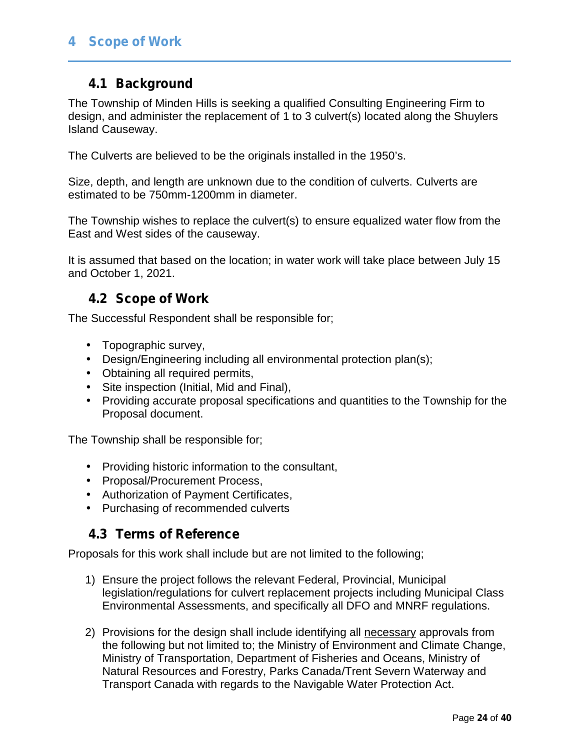## **4 Scope of Work**

## **4.1 Background**

The Township of Minden Hills is seeking a qualified Consulting Engineering Firm to design, and administer the replacement of 1 to 3 culvert(s) located along the Shuylers Island Causeway.

The Culverts are believed to be the originals installed in the 1950's.

Size, depth, and length are unknown due to the condition of culverts. Culverts are estimated to be 750mm-1200mm in diameter.

The Township wishes to replace the culvert(s) to ensure equalized water flow from the East and West sides of the causeway.

It is assumed that based on the location; in water work will take place between July 15 and October 1, 2021.

## **4.2 Scope of Work**

The Successful Respondent shall be responsible for;

- Topographic survey,
- Design/Engineering including all environmental protection plan(s);
- Obtaining all required permits,
- Site inspection (Initial, Mid and Final),
- $\hat{U}$  Providing accurate proposal specifications and quantities to the Township for the Proposal document.

The Township shall be responsible for;

- Providing historic information to the consultant,
- Proposal/Procurement Process,
- Authorization of Payment Certificates,
- ) Purchasing of recommended culverts

## **4.3 Terms of Reference**

Proposals for this work shall include but are not limited to the following;

- 1) Ensure the project follows the relevant Federal, Provincial, Municipal legislation/regulations for culvert replacement projects including Municipal Class Environmental Assessments, and specifically all DFO and MNRF regulations.
- 2) Provisions for the design shall include identifying all necessary approvals from the following but not limited to; the Ministry of Environment and Climate Change, Ministry of Transportation, Department of Fisheries and Oceans, Ministry of Natural Resources and Forestry, Parks Canada/Trent Severn Waterway and Transport Canada with regards to the Navigable Water Protection Act.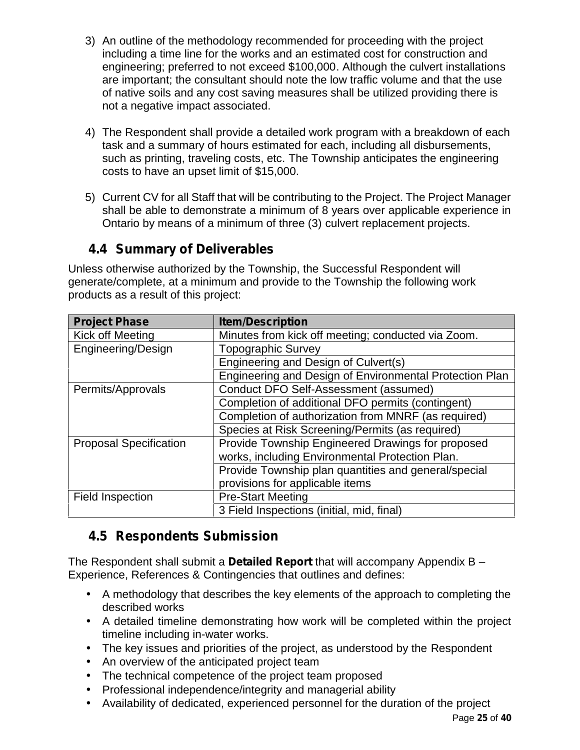- 3) An outline of the methodology recommended for proceeding with the project including a time line for the works and an estimated cost for construction and engineering; preferred to not exceed \$100,000. Although the culvert installations are important; the consultant should note the low traffic volume and that the use of native soils and any cost saving measures shall be utilized providing there is not a negative impact associated.
- 4) The Respondent shall provide a detailed work program with a breakdown of each task and a summary of hours estimated for each, including all disbursements, such as printing, traveling costs, etc. The Township anticipates the engineering costs to have an upset limit of \$15,000.
- 5) Current CV for all Staff that will be contributing to the Project. The Project Manager shall be able to demonstrate a minimum of 8 years over applicable experience in Ontario by means of a minimum of three (3) culvert replacement projects.

## **4.4 Summary of Deliverables**

Unless otherwise authorized by the Township, the Successful Respondent will generate/complete, at a minimum and provide to the Township the following work products as a result of this project:

| <b>Project Phase</b>          | <b>Item/Description</b>                                 |
|-------------------------------|---------------------------------------------------------|
| Kick off Meeting              | Minutes from kick off meeting; conducted via Zoom.      |
| Engineering/Design            | <b>Topographic Survey</b>                               |
|                               | Engineering and Design of Culvert(s)                    |
|                               | Engineering and Design of Environmental Protection Plan |
| Permits/Approvals             | Conduct DFO Self-Assessment (assumed)                   |
|                               | Completion of additional DFO permits (contingent)       |
|                               | Completion of authorization from MNRF (as required)     |
|                               | Species at Risk Screening/Permits (as required)         |
| <b>Proposal Specification</b> | Provide Township Engineered Drawings for proposed       |
|                               | works, including Environmental Protection Plan.         |
|                               | Provide Township plan quantities and general/special    |
|                               | provisions for applicable items                         |
| Field Inspection              | <b>Pre-Start Meeting</b>                                |
|                               | 3 Field Inspections (initial, mid, final)               |

## **4.5 Respondents Submission**

The Respondent shall submit a **Detailed Report** that will accompany Appendix B – Experience, References & Contingencies that outlines and defines:

- A methodology that describes the key elements of the approach to completing the described works
- A detailed timeline demonstrating how work will be completed within the project timeline including in-water works.
- The key issues and priorities of the project, as understood by the Respondent An overview of the anticipated project team
- ) The technical competence of the project team proposed
- Professional independence/integrity and managerial ability
	- Availability of dedicated, experienced personnel for the duration of the project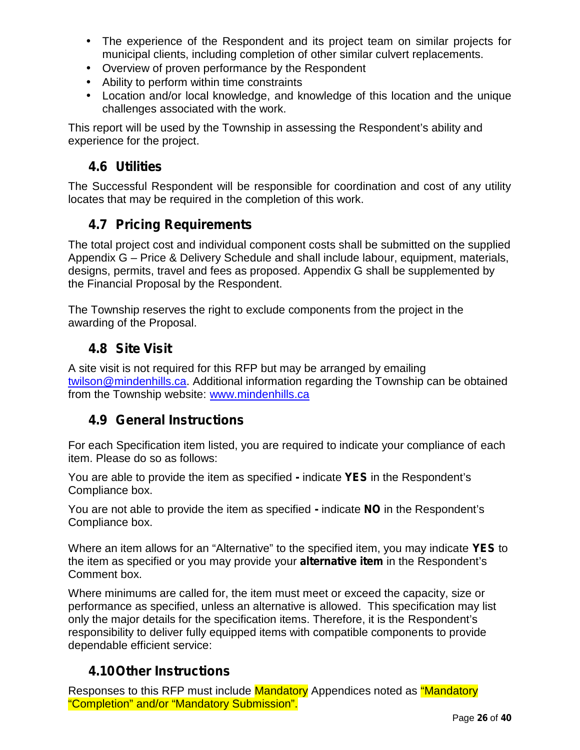- The experience of the Respondent and its project team on similar projects for municipal clients, including completion of other similar culvert replacements.
- Overview of proven performance by the Respondent
- Ability to perform within time constraints
- Location and/or local knowledge, and knowledge of this location and the unique challenges associated with the work.

This report will be used by the Township in assessing the Respondent's ability and experience for the project.

## **4.6 Utilities**

The Successful Respondent will be responsible for coordination and cost of any utility locates that may be required in the completion of this work.

# **4.7 Pricing Requirements**

The total project cost and individual component costs shall be submitted on the supplied Appendix G – Price & Delivery Schedule and shall include labour, equipment, materials, designs, permits, travel and fees as proposed. Appendix G shall be supplemented by the Financial Proposal by the Respondent.

The Township reserves the right to exclude components from the project in the awarding of the Proposal.

## **4.8 Site Visit**

A site visit is not required for this RFP but may be arranged by emailing twilson@mindenhills.ca. Additional information regarding the Township can be obtained from the Township website: www.mindenhills.ca

## **4.9 General Instructions**

For each Specification item listed, you are required to indicate your compliance of each item. Please do so as follows:

You are able to provide the item as specified **-** indicate **YES** in the Respondent's Compliance box.

You are not able to provide the item as specified **-** indicate **NO** in the Respondent's Compliance box.

Where an item allows for an "Alternative" to the specified item, you may indicate **YES** to the item as specified or you may provide your **alternative item** in the Respondent's Comment box.

Where minimums are called for, the item must meet or exceed the capacity, size or performance as specified, unless an alternative is allowed. This specification may list only the major details for the specification items. Therefore, it is the Respondent's responsibility to deliver fully equipped items with compatible components to provide dependable efficient service:

## **4.10Other Instructions**

Responses to this RFP must include Mandatory Appendices noted as "Mandatory" "Completion" and/or "Mandatory Submission".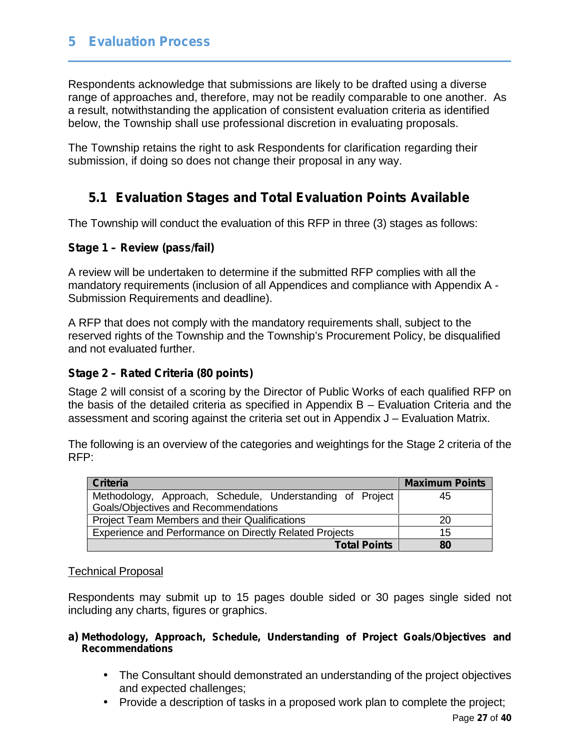## **5 Evaluation Process**

Respondents acknowledge that submissions are likely to be drafted using a diverse range of approaches and, therefore, may not be readily comparable to one another. As a result, notwithstanding the application of consistent evaluation criteria as identified below, the Township shall use professional discretion in evaluating proposals.

The Township retains the right to ask Respondents for clarification regarding their submission, if doing so does not change their proposal in any way.

## **5.1 Evaluation Stages and Total Evaluation Points Available**

The Township will conduct the evaluation of this RFP in three (3) stages as follows:

#### **Stage 1 – Review (pass/fail)**

A review will be undertaken to determine if the submitted RFP complies with all the mandatory requirements (inclusion of all Appendices and compliance with Appendix A - Submission Requirements and deadline).

A RFP that does not comply with the mandatory requirements shall, subject to the reserved rights of the Township and the Township's Procurement Policy, be disqualified and not evaluated further.

#### **Stage 2 – Rated Criteria (80 points)**

Stage 2 will consist of a scoring by the Director of Public Works of each qualified RFP on the basis of the detailed criteria as specified in Appendix B – Evaluation Criteria and the assessment and scoring against the criteria set out in Appendix J – Evaluation Matrix.

The following is an overview of the categories and weightings for the Stage 2 criteria of the RFP:

| <b>Criteria</b>                                           | <b>Maximum Points</b> |  |  |
|-----------------------------------------------------------|-----------------------|--|--|
| Methodology, Approach, Schedule, Understanding of Project | 45                    |  |  |
| Goals/Objectives and Recommendations                      |                       |  |  |
| Project Team Members and their Qualifications             | 20                    |  |  |
| Experience and Performance on Directly Related Projects   | 15                    |  |  |
| <b>Total Points</b>                                       | 80                    |  |  |

#### Technical Proposal

Respondents may submit up to 15 pages double sided or 30 pages single sided not including any charts, figures or graphics.

#### **a) Methodology, Approach, Schedule, Understanding of Project Goals/Objectives and Recommendations**

- The Consultant should demonstrated an understanding of the project objectives and expected challenges;
- Provide a description of tasks in a proposed work plan to complete the project;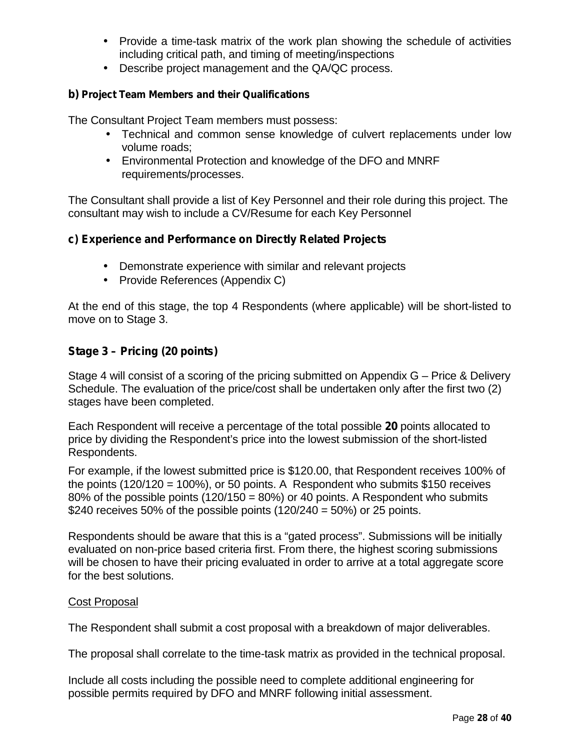- Provide a time-task matrix of the work plan showing the schedule of activities including critical path, and timing of meeting/inspections
- Describe project management and the QA/QC process.

#### **b) Project Team Members and their Qualifications**

The Consultant Project Team members must possess:

- Technical and common sense knowledge of culvert replacements under low volume roads;
- Environmental Protection and knowledge of the DFO and MNRF requirements/processes.

The Consultant shall provide a list of Key Personnel and their role during this project. The consultant may wish to include a CV/Resume for each Key Personnel

#### **c) Experience and Performance on Directly Related Projects**

- Demonstrate experience with similar and relevant projects
- Provide References (Appendix C)

At the end of this stage, the top 4 Respondents (where applicable) will be short-listed to move on to Stage 3.

### **Stage 3 – Pricing (20 points)**

Stage 4 will consist of a scoring of the pricing submitted on Appendix G – Price & Delivery Schedule. The evaluation of the price/cost shall be undertaken only after the first two (2) stages have been completed.

Each Respondent will receive a percentage of the total possible **20** points allocated to price by dividing the Respondent's price into the lowest submission of the short-listed Respondents.

For example, if the lowest submitted price is \$120.00, that Respondent receives 100% of the points (120/120 = 100%), or 50 points. A Respondent who submits \$150 receives 80% of the possible points (120/150 = 80%) or 40 points. A Respondent who submits \$240 receives 50% of the possible points  $(120/240 = 50%)$  or 25 points.

Respondents should be aware that this is a "gated process". Submissions will be initially evaluated on non-price based criteria first. From there, the highest scoring submissions will be chosen to have their pricing evaluated in order to arrive at a total aggregate score for the best solutions.

#### Cost Proposal

The Respondent shall submit a cost proposal with a breakdown of major deliverables.

The proposal shall correlate to the time-task matrix as provided in the technical proposal.

Include all costs including the possible need to complete additional engineering for possible permits required by DFO and MNRF following initial assessment.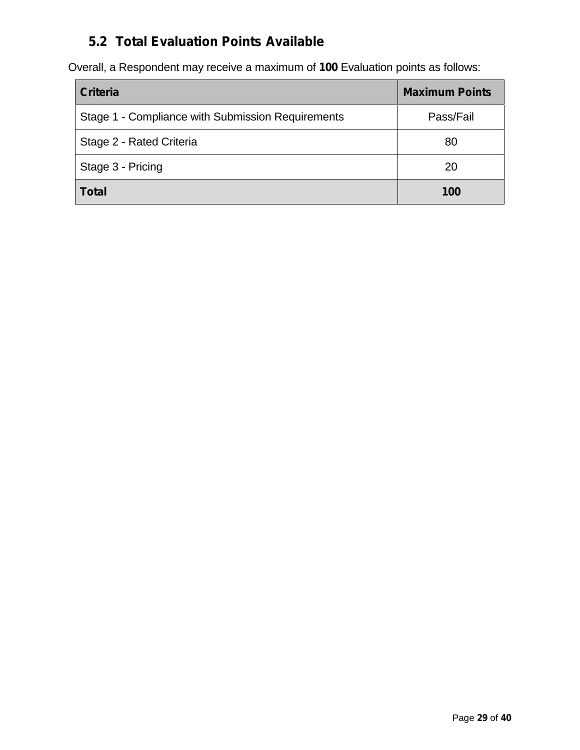# **5.2 Total Evaluation Points Available**

Overall, a Respondent may receive a maximum of **100** Evaluation points as follows:

| <b>Criteria</b>                                   | <b>Maximum Points</b> |
|---------------------------------------------------|-----------------------|
| Stage 1 - Compliance with Submission Requirements | Pass/Fail             |
| Stage 2 - Rated Criteria                          | 80                    |
| Stage 3 - Pricing                                 | 20                    |
| <b>Total</b>                                      | 100                   |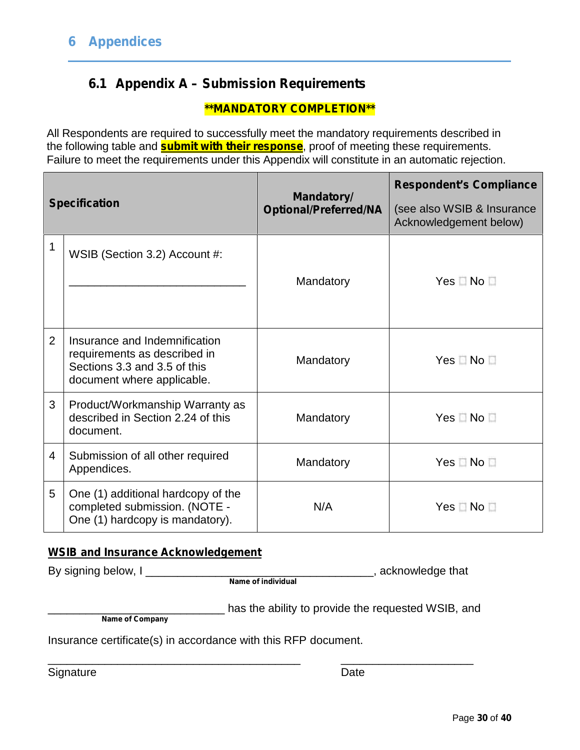## **6.1 Appendix A – Submission Requirements**

### **\*\*MANDATORY COMPLETION\*\***

All Respondents are required to successfully meet the mandatory requirements described in the following table and **submit with their response**, proof of meeting these requirements. Failure to meet the requirements under this Appendix will constitute in an automatic rejection.

|                | <b>Specification</b>                                                                                                        | <b>Mandatory/</b><br><b>Optional/Preferred/NA</b> | <b>Respondent's Compliance</b><br>(see also WSIB & Insurance<br>Acknowledgement below) |  |
|----------------|-----------------------------------------------------------------------------------------------------------------------------|---------------------------------------------------|----------------------------------------------------------------------------------------|--|
| 1              | WSIB (Section 3.2) Account #:                                                                                               | Mandatory                                         | $Yes \Box No \Box$                                                                     |  |
| $\overline{2}$ | Insurance and Indemnification<br>requirements as described in<br>Sections 3.3 and 3.5 of this<br>document where applicable. | Mandatory                                         | $Yes \Box No \Box$                                                                     |  |
| 3              | Product/Workmanship Warranty as<br>described in Section 2.24 of this<br>document.                                           | Mandatory                                         | Yes No                                                                                 |  |
| 4              | Submission of all other required<br>Appendices.                                                                             | Mandatory                                         | $Yes \Box No \Box$                                                                     |  |
| 5              | One (1) additional hardcopy of the<br>completed submission. (NOTE -<br>One (1) hardcopy is mandatory).                      | N/A                                               | $Yes \Box No \Box$                                                                     |  |

#### **WSIB and Insurance Acknowledgement**

**Name of individual**

\_\_\_\_\_\_\_\_\_\_\_\_\_\_\_\_\_\_\_\_\_\_\_\_\_\_\_\_\_\_\_\_\_\_\_\_\_\_\_\_ \_\_\_\_\_\_\_\_\_\_\_\_\_\_\_\_\_\_\_\_\_

By signing below, I \_\_\_\_\_\_\_\_\_\_\_\_\_\_\_\_\_\_\_\_\_\_\_\_\_\_\_\_\_\_\_\_\_\_\_\_, acknowledge that

**Name of Company**

has the ability to provide the requested WSIB, and

Insurance certificate(s) in accordance with this RFP document.

Signature Date **Date**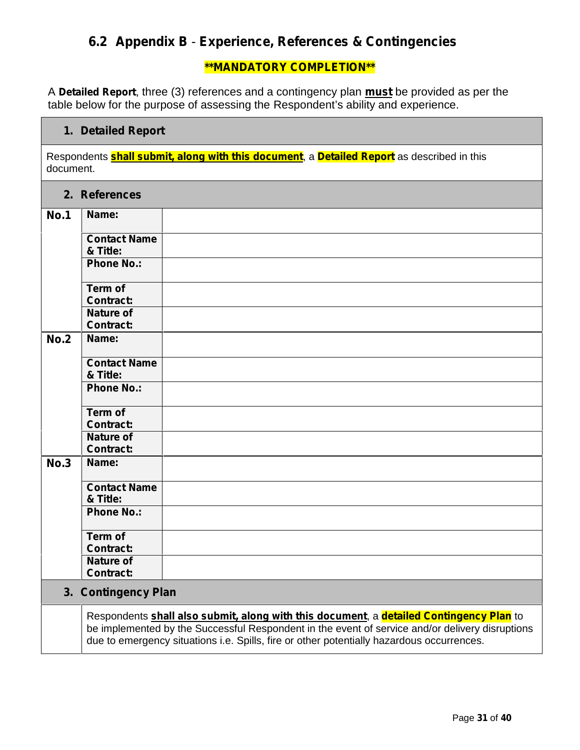## **6.2 Appendix B** - **Experience, References & Contingencies**

#### **\*\*MANDATORY COMPLETION\*\***

A **Detailed Report**, three (3) references and a contingency plan **must** be provided as per the table below for the purpose of assessing the Respondent's ability and experience.

#### **1. Detailed Report**

Respondents **shall submit, along with this document**, a **Detailed Report** as described in this document.

#### **2. References**

| <b>No.1</b> | Name:                                |  |
|-------------|--------------------------------------|--|
|             | <b>Contact Name</b><br>& Title:      |  |
|             | <b>Phone No.:</b>                    |  |
|             | Term of<br><b>Contract:</b>          |  |
|             | <b>Nature of</b><br><b>Contract:</b> |  |
| <b>No.2</b> | Name:                                |  |
|             | <b>Contact Name</b><br>& Title:      |  |
|             | <b>Phone No.:</b>                    |  |
|             | Term of<br><b>Contract:</b>          |  |
|             | <b>Nature of</b><br><b>Contract:</b> |  |
| <b>No.3</b> | Name:                                |  |
|             | <b>Contact Name</b><br>& Title:      |  |
|             | <b>Phone No.:</b>                    |  |
|             | <b>Term of</b><br><b>Contract:</b>   |  |
|             | <b>Nature of</b><br><b>Contract:</b> |  |
|             | 3. Contingency Plan                  |  |

Respondents **shall also submit, along with this document**, a **detailed Contingency Plan** to be implemented by the Successful Respondent in the event of service and/or delivery disruptions due to emergency situations i.e. Spills, fire or other potentially hazardous occurrences.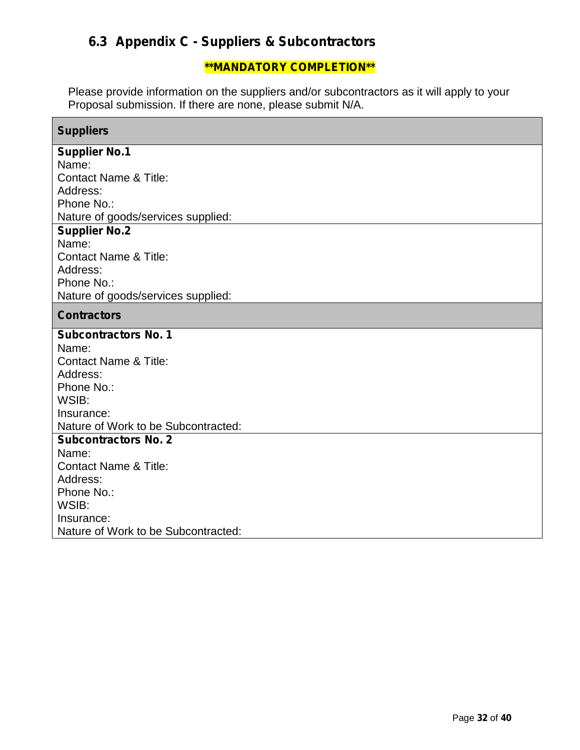# **6.3 Appendix C -Suppliers & Subcontractors**

### **\*\*MANDATORY COMPLETION\*\***

Please provide information on the suppliers and/or subcontractors as it will apply to your Proposal submission. If there are none, please submit N/A.

| <b>Suppliers</b>                                  |
|---------------------------------------------------|
| <b>Supplier No.1</b>                              |
| Name:                                             |
| <b>Contact Name &amp; Title:</b>                  |
| Address:                                          |
| Phone No.:                                        |
| Nature of goods/services supplied:                |
| <b>Supplier No.2</b><br>Name:                     |
| <b>Contact Name &amp; Title:</b>                  |
| Address:                                          |
| Phone No.:                                        |
| Nature of goods/services supplied:                |
| <b>Contractors</b>                                |
| <b>Subcontractors No. 1</b>                       |
| Name:                                             |
| <b>Contact Name &amp; Title:</b>                  |
| Address:                                          |
| Phone No.:                                        |
| WSIB:                                             |
| Insurance:<br>Nature of Work to be Subcontracted: |
| <b>Subcontractors No. 2</b>                       |
| Name:                                             |
| <b>Contact Name &amp; Title:</b>                  |
| Address:                                          |
| Phone No.:                                        |
| WSIB:                                             |
| Insurance:                                        |
| Nature of Work to be Subcontracted:               |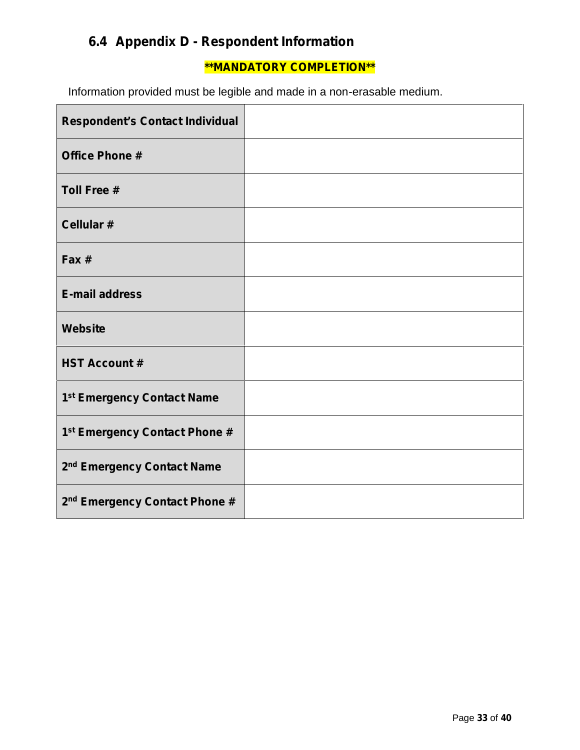# **6.4 Appendix D -Respondent Information**

### **\*\*MANDATORY COMPLETION\*\***

Information provided must be legible and made in a non-erasable medium.

| <b>Respondent's Contact Individual</b>    |  |
|-------------------------------------------|--|
| <b>Office Phone #</b>                     |  |
| <b>Toll Free #</b>                        |  |
| Cellular #                                |  |
| Fax #                                     |  |
| <b>E-mail address</b>                     |  |
| <b>Website</b>                            |  |
| <b>HST Account #</b>                      |  |
| 1 <sup>st</sup> Emergency Contact Name    |  |
| 1 <sup>st</sup> Emergency Contact Phone # |  |
| 2 <sup>nd</sup> Emergency Contact Name    |  |
| 2 <sup>nd</sup> Emergency Contact Phone # |  |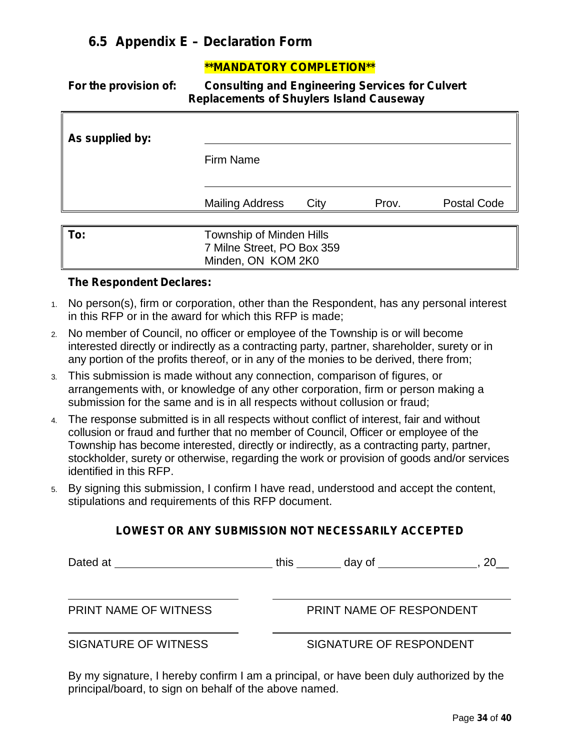## **6.5 Appendix E –Declaration Form**

#### **\*\*MANDATORY COMPLETION\*\***

**For the provision of: Consulting and Engineering Services for Culvert Replacements of Shuylers Island Causeway**

| As supplied by: | Firm Name                                                                    |      |       |                    |
|-----------------|------------------------------------------------------------------------------|------|-------|--------------------|
|                 | <b>Mailing Address</b>                                                       | City | Prov. | <b>Postal Code</b> |
| To:             | Township of Minden Hills<br>7 Milne Street, PO Box 359<br>Minden, ON KOM 2K0 |      |       |                    |

#### **The Respondent Declares:**

- 1. No person(s), firm or corporation, other than the Respondent, has any personal interest in this RFP or in the award for which this RFP is made;
- 2. No member of Council, no officer or employee of the Township is or will become interested directly or indirectly as a contracting party, partner, shareholder, surety or in any portion of the profits thereof, or in any of the monies to be derived, there from;
- 3. This submission is made without any connection, comparison of figures, or arrangements with, or knowledge of any other corporation, firm or person making a submission for the same and is in all respects without collusion or fraud;
- 4. The response submitted is in all respects without conflict of interest, fair and without collusion or fraud and further that no member of Council, Officer or employee of the Township has become interested, directly or indirectly, as a contracting party, partner, stockholder, surety or otherwise, regarding the work or provision of goods and/or services identified in this RFP.
- 5. By signing this submission, I confirm I have read, understood and accept the content, stipulations and requirements of this RFP document.

#### **LOWEST OR ANY SUBMISSION NOT NECESSARILY ACCEPTED**

Dated at this day of , 20\_

PRINT NAME OF WITNESS PRINT NAME OF RESPONDENT

#### SIGNATURE OF WITNESS SIGNATURE OF RESPONDENT

By my signature, I hereby confirm I am a principal, or have been duly authorized by the principal/board, to sign on behalf of the above named.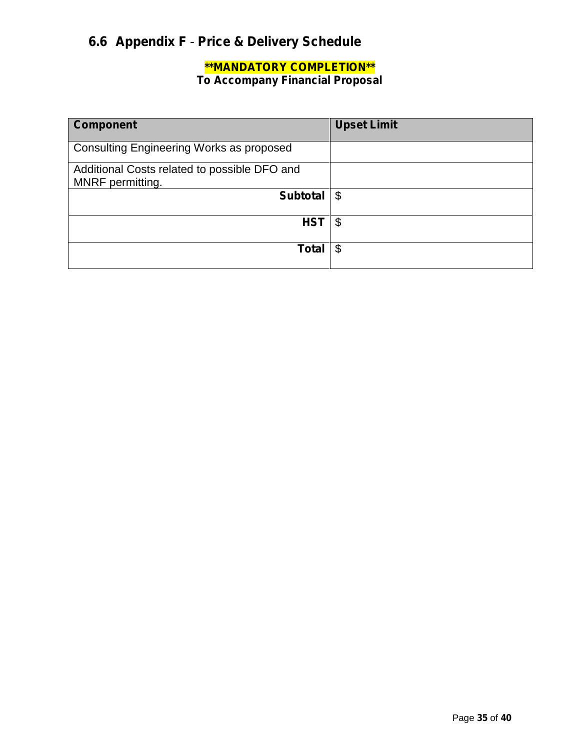# **6.6 Appendix F** - **Price & Delivery Schedule**

# **\*\*MANDATORY COMPLETION\*\***

**To Accompany Financial Proposal**

| <b>Component</b>                                                 | <b>Upset Limit</b>         |
|------------------------------------------------------------------|----------------------------|
| <b>Consulting Engineering Works as proposed</b>                  |                            |
| Additional Costs related to possible DFO and<br>MNRF permitting. |                            |
| <b>Subtotal</b>                                                  | $\boldsymbol{\mathsf{\$}}$ |
| <b>HST</b>                                                       | \$                         |
| <b>Total</b>                                                     | \$                         |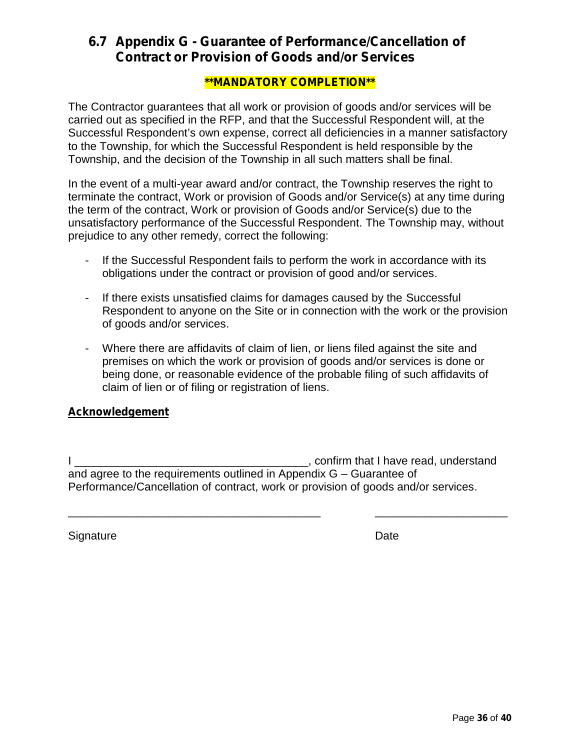## **6.7 Appendix G -Guarantee of Performance/Cancellation of Contract or Provision of Goods and/or Services**

#### **\*\*MANDATORY COMPLETION\*\***

The Contractor guarantees that all work or provision of goods and/or services will be carried out as specified in the RFP, and that the Successful Respondent will, at the Successful Respondent's own expense, correct all deficiencies in a manner satisfactory to the Township, for which the Successful Respondent is held responsible by the Township, and the decision of the Township in all such matters shall be final.

In the event of a multi-year award and/or contract, the Township reserves the right to terminate the contract, Work or provision of Goods and/or Service(s) at any time during the term of the contract, Work or provision of Goods and/or Service(s) due to the unsatisfactory performance of the Successful Respondent. The Township may, without prejudice to any other remedy, correct the following:

- If the Successful Respondent fails to perform the work in accordance with its obligations under the contract or provision of good and/or services.
- If there exists unsatisfied claims for damages caused by the Successful Respondent to anyone on the Site or in connection with the work or the provision of goods and/or services.
- Where there are affidavits of claim of lien, or liens filed against the site and premises on which the work or provision of goods and/or services is done or being done, or reasonable evidence of the probable filing of such affidavits of claim of lien or of filing or registration of liens.

#### **Acknowledgement**

I \_\_\_\_\_\_\_\_\_\_\_\_\_\_\_\_\_\_\_\_\_\_\_\_\_\_\_\_\_\_\_\_\_\_\_\_\_, confirm that I have read, understand and agree to the requirements outlined in Appendix G – Guarantee of Performance/Cancellation of contract, work or provision of goods and/or services.

\_\_\_\_\_\_\_\_\_\_\_\_\_\_\_\_\_\_\_\_\_\_\_\_\_\_\_\_\_\_\_\_\_\_\_\_\_\_\_\_ \_\_\_\_\_\_\_\_\_\_\_\_\_\_\_\_\_\_\_\_\_

Signature Date **Date**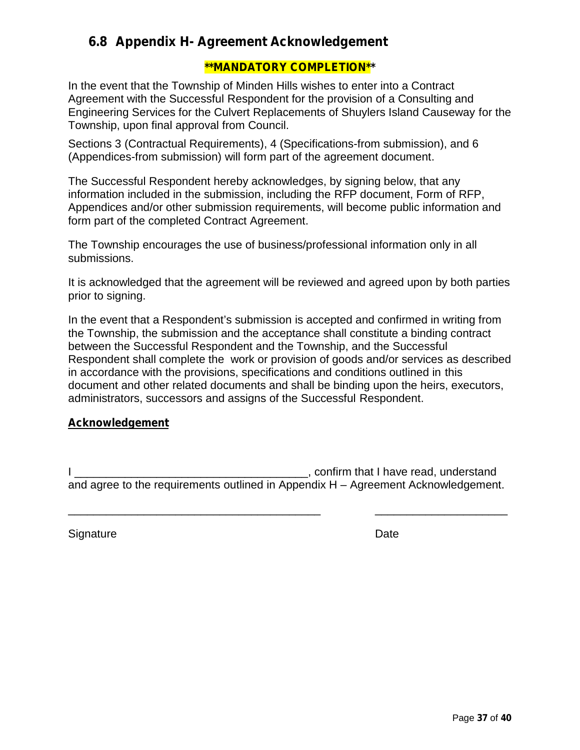## **6.8 Appendix H- Agreement Acknowledgement**

### **\*\*MANDATORY COMPLETION\*\***

In the event that the Township of Minden Hills wishes to enter into a Contract Agreement with the Successful Respondent for the provision of a Consulting and Engineering Services for the Culvert Replacements of Shuylers Island Causeway for the Township, upon final approval from Council.

Sections 3 (Contractual Requirements), 4 (Specifications-from submission), and 6 (Appendices-from submission) will form part of the agreement document.

The Successful Respondent hereby acknowledges, by signing below, that any information included in the submission, including the RFP document, Form of RFP, Appendices and/or other submission requirements, will become public information and form part of the completed Contract Agreement.

The Township encourages the use of business/professional information only in all submissions.

It is acknowledged that the agreement will be reviewed and agreed upon by both parties prior to signing.

In the event that a Respondent's submission is accepted and confirmed in writing from the Township, the submission and the acceptance shall constitute a binding contract between the Successful Respondent and the Township, and the Successful Respondent shall complete the work or provision of goods and/or services as described in accordance with the provisions, specifications and conditions outlined in this document and other related documents and shall be binding upon the heirs, executors, administrators, successors and assigns of the Successful Respondent.

#### **Acknowledgement**

I \_\_\_\_\_\_\_\_\_\_\_\_\_\_\_\_\_\_\_\_\_\_\_\_\_\_\_\_\_\_\_\_\_\_\_\_\_, confirm that I have read, understand and agree to the requirements outlined in Appendix H – Agreement Acknowledgement.

\_\_\_\_\_\_\_\_\_\_\_\_\_\_\_\_\_\_\_\_\_\_\_\_\_\_\_\_\_\_\_\_\_\_\_\_\_\_\_\_ \_\_\_\_\_\_\_\_\_\_\_\_\_\_\_\_\_\_\_\_\_

Signature Date Date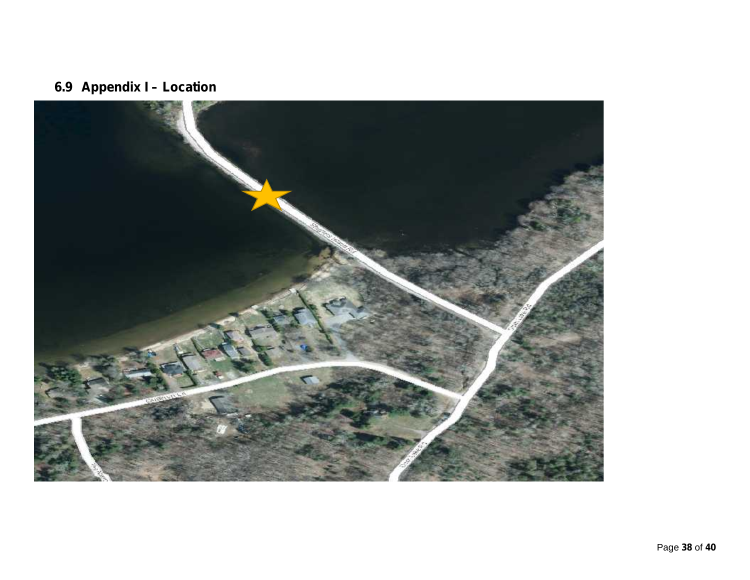# **6.9 Appendix I – Location**

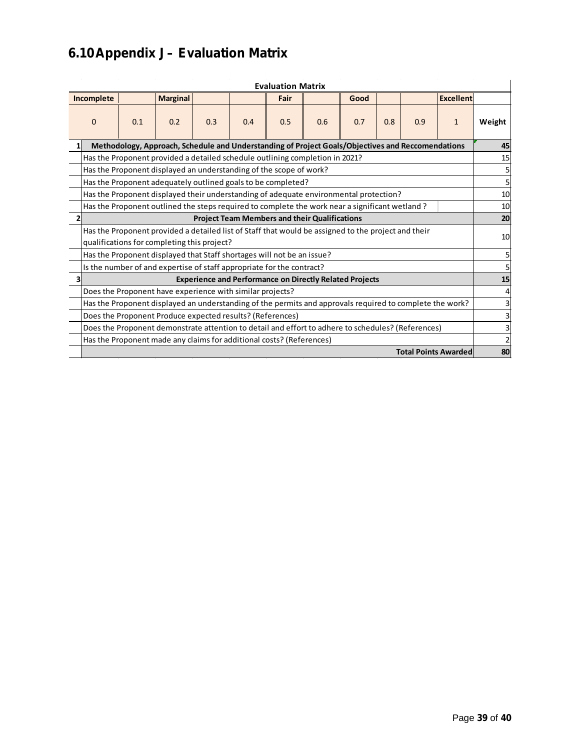# **6.10Appendix J– Evaluation Matrix**

| <b>Evaluation Matrix</b> |                                                                                                                                                    |                                                                      |                 |     |     |      |     |      |     |     |                  |        |
|--------------------------|----------------------------------------------------------------------------------------------------------------------------------------------------|----------------------------------------------------------------------|-----------------|-----|-----|------|-----|------|-----|-----|------------------|--------|
|                          | Incomplete                                                                                                                                         |                                                                      | <b>Marginal</b> |     |     | Fair |     | Good |     |     | <b>Excellent</b> |        |
|                          | $\Omega$                                                                                                                                           | 0.1                                                                  | 0.2             | 0.3 | 0.4 | 0.5  | 0.6 | 0.7  | 0.8 | 0.9 | $\mathbf{1}$     | Weight |
|                          | Methodology, Approach, Schedule and Understanding of Project Goals/Objectives and Reccomendations                                                  |                                                                      |                 |     |     |      |     |      |     | 45  |                  |        |
|                          | Has the Proponent provided a detailed schedule outlining completion in 2021?                                                                       |                                                                      |                 |     |     |      | 15  |      |     |     |                  |        |
|                          |                                                                                                                                                    | Has the Proponent displayed an understanding of the scope of work?   |                 |     |     |      |     |      |     |     |                  |        |
|                          | Has the Proponent adequately outlined goals to be completed?                                                                                       |                                                                      |                 |     |     |      |     |      |     |     |                  |        |
|                          | Has the Proponent displayed their understanding of adequate environmental protection?                                                              |                                                                      |                 |     |     |      |     |      |     | 10  |                  |        |
|                          | Has the Proponent outlined the steps required to complete the work near a significant wetland?                                                     |                                                                      |                 |     |     |      |     |      | 10  |     |                  |        |
|                          | <b>Project Team Members and their Qualifications</b>                                                                                               |                                                                      |                 |     |     |      |     |      | 20  |     |                  |        |
|                          | Has the Proponent provided a detailed list of Staff that would be assigned to the project and their<br>qualifications for completing this project? |                                                                      |                 |     |     |      |     | 10   |     |     |                  |        |
|                          | Has the Proponent displayed that Staff shortages will not be an issue?                                                                             |                                                                      |                 |     |     |      |     |      |     |     |                  |        |
|                          | Is the number of and expertise of staff appropriate for the contract?                                                                              |                                                                      |                 |     |     |      |     |      |     |     |                  |        |
|                          |                                                                                                                                                    | <b>Experience and Performance on Directly Related Projects</b>       |                 |     |     |      |     |      | 15  |     |                  |        |
|                          | Does the Proponent have experience with similar projects?                                                                                          |                                                                      |                 |     |     |      |     |      |     |     |                  |        |
|                          | Has the Proponent displayed an understanding of the permits and approvals required to complete the work?                                           |                                                                      |                 |     |     |      |     |      |     |     |                  |        |
|                          | Does the Proponent Produce expected results? (References)                                                                                          |                                                                      |                 |     |     |      |     |      |     |     |                  |        |
|                          | Does the Proponent demonstrate attention to detail and effort to adhere to schedules? (References)                                                 |                                                                      |                 |     |     |      |     |      |     |     |                  |        |
|                          |                                                                                                                                                    | Has the Proponent made any claims for additional costs? (References) |                 |     |     |      |     |      |     |     |                  |        |
|                          | <b>Total Points Awarded</b>                                                                                                                        |                                                                      |                 |     |     |      |     |      | 80  |     |                  |        |